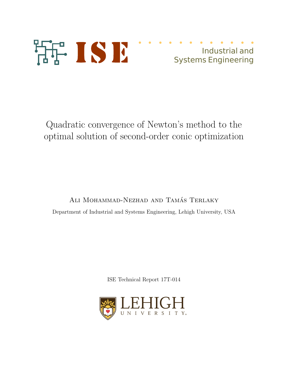

# Industrial and Systems Engineering

Quadratic convergence of Newton's method to the optimal solution of second-order conic optimization

ALI MOHAMMAD-NEZHAD AND TAMÁS TERLAKY Department of Industrial and Systems Engineering, Lehigh University, USA

ISE Technical Report 17T-014

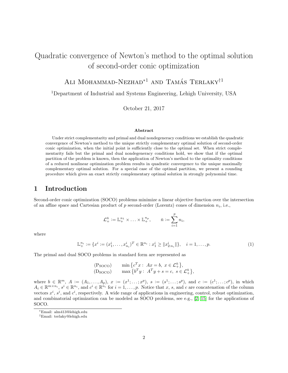# Quadratic convergence of Newton's method to the optimal solution of second-order conic optimization

ALI MOHAMMAD-NEZHAD<sup>\*1</sup> AND TAMÁS TERLAKY<sup>†1</sup>

<sup>1</sup>Department of Industrial and Systems Engineering, Lehigh University, USA

October 21, 2017

#### Abstract

Under strict complementarity and primal and dual nondegeneracy conditions we establish the quadratic convergence of Newton's method to the unique strictly complementary optimal solution of second-order conic optimization, when the initial point is sufficiently close to the optimal set. When strict complementarity fails but the primal and dual nondegeneracy conditions hold, we show that if the optimal partition of the problem is known, then the application of Newton's method to the optimality conditions of a reduced nonlinear optimization problem results in quadratic convergence to the unique maximally complementary optimal solution. For a special case of the optimal partition, we present a rounding procedure which gives an exact strictly complementary optimal solution in strongly polynomial time.

## <span id="page-1-0"></span>1 Introduction

Second-order conic optimization (SOCO) problems minimize a linear objective function over the intersection of an affine space and Cartesian product of  $p$  second-order (Lorentz) cones of dimension  $n_i$ , i.e.,

<span id="page-1-1"></span>
$$
\mathcal{L}^{\bar{n}}_{+}:=\mathbb{L}^{n_1}_{+}\times\ldots\times\mathbb{L}^{n_p}_{+},\qquad \bar{n}:=\sum_{i=1}^pn_i,
$$

where

$$
\mathbb{L}_{+}^{n_i} := \{ x^i := (x_1^i, \dots, x_{n_i}^i)^T \in \mathbb{R}^{n_i} : x_1^i \ge ||x_{2:n_i}^i|| \}, \quad i = 1, \dots, p. \tag{1}
$$

The primal and dual SOCO problems in standard form are represented as

$$
\begin{array}{ll}\n\text{(PSOCO)} & \min \left\{ c^T x : Ax = b, \ x \in \mathcal{L}_+^{\bar{n}} \right\}, \\
\text{(DSOCO)} & \max \left\{ b^T y : A^T y + s = c, \ s \in \mathcal{L}_+^{\bar{n}} \right\},\n\end{array}
$$

where  $b \in \mathbb{R}^m$ ,  $A := (A_1, \ldots, A_p)$ ,  $x := (x^1; \ldots; x^p)$ ,  $s := (s^1; \ldots; s^p)$ , and  $c := (c^1; \ldots; c^p)$ , in which  $A_i \in \mathbb{R}^{m \times n_i}$ ,  $s^i \in \mathbb{R}^{n_i}$ , and  $c^i \in \mathbb{R}^{n_i}$  for  $i = 1, \ldots, p$ . Notice that x, s, and c are concatenation of the column vectors  $x^i$ ,  $s^i$ , and  $c^i$ , respectively. A wide range of applications in engineering, control, robust optimization, and combinatorial optimization can be modeled as SOCO problems, see e.g., [\[2,](#page-16-0) [15\]](#page-17-0) for the applications of SOCO.

<sup>∗</sup>Email: alm413@lehigh.edu

<sup>†</sup>Email: terlaky@lehigh.edu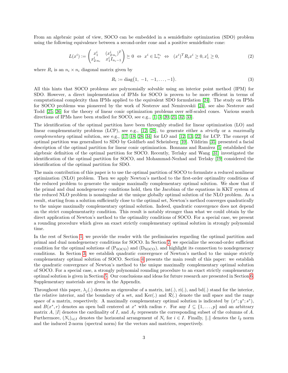From an algebraic point of view, SOCO can be embedded in a semidefinite optimization (SDO) problem using the following equivalence between a second-order cone and a positive semidefinite cone:

$$
L(x^{i}) := \begin{pmatrix} x_1^{i} & (x_{2:n_i}^{i})^{T} \\ x_{2:n_i}^{i} & x_1^{i} I_{n_i-1} \end{pmatrix} \succeq 0 \Leftrightarrow x^{i} \in \mathbb{L}_{+}^{n_i} \Leftrightarrow (x^{i})^{T} R_i x^{i} \geq 0, x_1^{i} \geq 0,
$$
\n(2)

where  $R_i$  is an  $n_i \times n_i$  diagonal matrix given by

<span id="page-2-1"></span><span id="page-2-0"></span>
$$
R_i := \text{diag}(1, -1, -1, \dots, -1). \tag{3}
$$

All this hints that SOCO problems are polynomially solvable using an interior point method (IPM) for SDO. However, a direct implementation of IPMs for SOCO is proven to be more efficient in terms of computational complexity than IPMs applied to the equivalent SDO formulation [\[24\]](#page-18-0). The study on IPMs for SOCO problems was pioneered by the work of Nesterov and Nemirovskii [\[24\]](#page-18-0), see also Nesterov and Todd [\[25,](#page-18-1) [26\]](#page-18-2) for the theory of linear conic optimization problems over self-scaled cones. Various search directions of IPMs have been studied for SOCO, see e.g., [\[1,](#page-16-1) [3,](#page-16-2) [20,](#page-17-1) [21,](#page-17-2) [32,](#page-18-3) [33\]](#page-18-4).

The identification of the optimal partition have been throughly studied for linear optimization (LO) and linear complementarity problems (LCP), see e.g., [\[12,](#page-17-3) [28\]](#page-18-5), to generate either a *strictly* or a maximally complementary optimal solution, see e.g.,  $[17, 18, 28, 34]$  $[17, 18, 28, 34]$  $[17, 18, 28, 34]$  $[17, 18, 28, 34]$  for LO and  $[12, 13, 22]$  $[12, 13, 22]$  $[12, 13, 22]$  for LCP. The concept of optimal partition was generalized to SDO by Goldfarb and Scheinberg [\[10\]](#page-17-8). Yildirim [\[35\]](#page-18-7) presented a facial description of the optimal partition for linear conic optimization. Bonnans and Ramírez [\[5\]](#page-16-3) established the algebraic definition of the optimal partition for SOCO. Recently, Terlaky and Wang [\[31\]](#page-18-8) investigated the identification of the optimal partition for SOCO, and Mohammad-Nezhad and Terlaky [\[19\]](#page-17-9) considered the identification of the optimal partition for SDO.

The main contribution of this paper is to use the optimal partition of SOCO to formulate a reduced nonlinear optimization (NLO) problem. Then we apply Newton's method to the first-order optimality conditions of the reduced problem to generate the unique maximally complementary optimal solution. We show that if the primal and dual nondegeneracy conditions hold, then the Jacobian of the equations in KKT system of the reduced NLO problem is nonsingular at the unique globally optimal solution of the NLO problem. As a result, starting from a solution sufficiently close to the optimal set, Newton's method converges quadratically to the unique maximally complementary optimal solution. Indeed, quadratic convergence does not depend on the strict complementarity condition. This result is notably stronger than what we could obtain by the direct application of Newton's method to the optimality conditions of SOCO. For a special case, we present a rounding procedure which gives an exact strictly complementary optimal solution in strongly polynomial time.

In the rest of Section [1,](#page-1-0) we provide the reader with the preliminaries regarding the optimal partition and primal and dual nondegeneracy conditions for SOCO. In Section [2,](#page-6-0) we specialize the second-order sufficient condition for the optimal solutions of  $(P_{\text{SOCO}})$  and  $(D_{\text{SOCO}})$ , and highlight its connection to nondegeneracy conditions. In Section [3,](#page-7-0) we establish quadratic convergence of Newton's method to the unique strictly complementary optimal solution of SOCO. Section [4](#page-9-0) presents the main result of this paper: we establish the quadratic convergence of Newton's method to the unique maximally complementary optimal solution of SOCO. For a special case, a strongly polynomial rounding procedure to an exact strictly complementary optimal solution is given in Section [5.](#page-15-0) Our conclusions and ideas for future research are presented in Section [6.](#page-16-4) Supplementary materials are given in the Appendix.

Throughout this paper,  $\lambda_j(.)$  denotes an eigenvalue of a matrix, int(.), ri(.), and bd(.) stand for the interior, the relative interior, and the boundary of a set, and  $\text{Ker}(\cdot)$  and  $\mathcal{R}(\cdot)$  denote the null space and the range space of a matrix, respectively. A maximally complementary optimal solution is indicated by  $(x^*; y^*; s^*)$ , and  $B(x^*, r)$  denotes an open ball centered at  $x^*$  with radius r. For any  $I \subseteq \{1, \ldots, p\}$  and an arbitrary matrix A, |I| denotes the cardinality of I, and  $A_I$  represents the corresponding subset of the columns of A. Furthermore,  $(N_i)_{i\in I}$  denotes the horizontal arrangement of  $N_i$  for  $i \in I$ . Finally,  $\|.\|$  denotes the  $l_2$  norm and the induced 2-norm (spectral norm) for the vectors and matrices, respectively.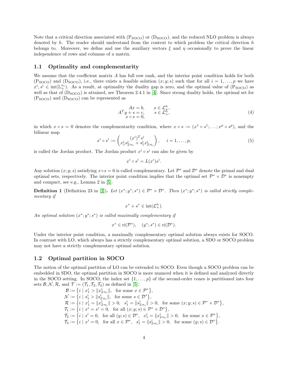Note that a critical direction associated with  $(P_{SOCO})$  or  $(D_{SOCO})$ , and the reduced NLO problem is always denoted by  $h$ . The reader should understand from the context to which problem the critical direction  $h$ belongs to. Moreover, we define and use the auxiliary vectors  $\xi$  and  $\eta$  occasionally to prove the linear independence of rows and columns of a matrix.

#### 1.1 Optimality and complementarity

We assume that the coefficient matrix A has full row rank, and the interior point condition holds for both  $(P_{SOCO})$  and  $(D_{SOCO})$ , i.e., there exists a feasible solution  $(x; y; s)$  such that for all  $i = 1, \ldots, p$  we have  $x^i, s^i \in \text{int}(\mathbb{L}^{n_i}_+)$ . As a result, at optimality the duality gap is zero, and the optimal value of  $(P_{\text{SOCO}})$  as well as that of  $(D_{SOCO})$  is attained, see Theorem 2.4.1 in [\[4\]](#page-16-5). Since strong duality holds, the optimal set for  $(P_{SOCO})$  and  $(D_{SOCO})$  can be represented as

<span id="page-3-0"></span>
$$
\begin{array}{ll}\nAx = b, & x \in \mathcal{L}_+^{\bar{n}}, \\
A^T y + s = c, & s \in \mathcal{L}_+^{\bar{n}}, \\
x \circ s = 0,\n\end{array} \tag{4}
$$

in which  $x \circ s = 0$  denotes the complementarity condition, where  $x \circ s := (x^1 \circ s^1; \dots; x^p \circ s^p)$ , and the bilinear map

<span id="page-3-1"></span>
$$
x^{i} \circ s^{i} := \begin{pmatrix} (x^{i})^{T} s^{i} \\ x_{1}^{i} s_{2:n_{i}}^{i} + s_{1}^{i} x_{2:n_{i}}^{i} \end{pmatrix}, \quad i = 1, \dots, p,
$$
\n
$$
(5)
$$

is called the Jordan product. The Jordan product  $x^i \circ s^i$  can also be given by

$$
x^i \circ s^i = L(x^i)s^i.
$$

Any solution  $(x; y; s)$  satisfying  $x \circ s = 0$  is called complementary. Let  $\mathcal{P}^*$  and  $\mathcal{D}^*$  denote the primal and dual optimal sets, respectively. The interior point condition implies that the optimal set  $\mathcal{P}^* \times \mathcal{D}^*$  is nonempty and compact, see e.g., Lemma 2 in [\[5\]](#page-16-3).

**Definition 1** (Definition 23 in [\[2\]](#page-16-0)). Let  $(x^*; y^*; s^*) \in \mathcal{P}^* \times \mathcal{D}^*$ . Then  $(x^*; y^*; s^*)$  is called strictly complementary if

$$
x^* + s^* \in \text{int}(\mathcal{L}_+^{\bar{n}}).
$$

An optimal solution  $(x^*; y^*; s^*)$  is called maximally complementary if

$$
x^* \in \text{ri}(\mathcal{P}^*), \quad (y^*; s^*) \in \text{ri}(\mathcal{D}^*).
$$

Under the interior point condition, a maximally complementary optimal solution always exists for SOCO. In contrast with LO, which always has a strictly complementary optimal solution, a SDO or SOCO problem may not have a strictly complementary optimal solution.

### 1.2 Optimal partition in SOCO

The notion of the optimal partition of LO can be extended to SOCO. Even though a SOCO problem can be embedded in SDO, the optimal partition in SOCO is more nuanced when it is defined and analyzed directly in the SOCO setting. In SOCO, the index set  $\{1, \ldots, p\}$  of the second-order cones is partitioned into four sets  $\mathcal{B}, \mathcal{N}, \mathcal{R}$ , and  $\mathcal{T} := (\mathcal{T}_1, \mathcal{T}_2, \mathcal{T}_3)$  as defined in [\[5\]](#page-16-3):

$$
\begin{split} \mathcal{B} &:= \left\{ i \mid x_1^i > \|x_{2:n_i}^i\|, \text{ for some } x \in \mathcal{P}^* \right\}, \\ \mathcal{N} &:= \left\{ i \mid s_1^i > \|s_{2:n_i}^i\|, \text{ for some } s \in \mathcal{D}^* \right\}, \\ \mathcal{R} &:= \left\{ i \mid x_1^i = \|x_{2:n_i}^i\| > 0, \text{ } s_1^i = \|s_{2:n_i}^i\| > 0, \text{ for some } (x; y; s) \in \mathcal{P}^* \times \mathcal{D}^* \right\}, \\ \mathcal{T}_1 &:= \left\{ i \mid x^i = s^i = 0, \text{ for all } (x; y; s) \in \mathcal{P}^* \times \mathcal{D}^* \right\}, \\ \mathcal{T}_2 &:= \left\{ i \mid s^i = 0, \text{ for all } (y; s) \in \mathcal{D}^*, \text{ } x_1^i = \|x_{2:n_i}^i\| > 0, \text{ for some } x \in \mathcal{P}^* \right\}, \\ \mathcal{T}_3 &:= \left\{ i \mid x^i = 0, \text{ for all } x \in \mathcal{P}^*, \text{ } s_1^i = \|s_{2:n_i}^i\| > 0, \text{ for some } (y; s) \in \mathcal{D}^* \right\}. \end{split}
$$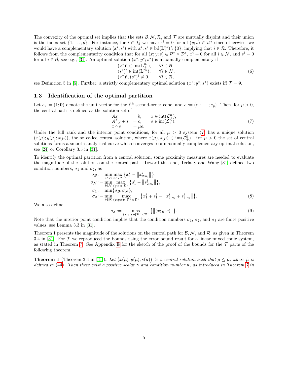The convexity of the optimal set implies that the sets  $\mathcal{B}, \mathcal{N}, \mathcal{R}$ , and  $\mathcal{T}$  are mutually disjoint and their union is the index set  $\{1,\ldots,p\}$ . For instance, for  $i \in \mathcal{T}_2$  we have  $s^i = 0$  for all  $(y; s) \in \mathcal{D}^*$  since otherwise, we would have a complementary solution  $(x^i; s^i)$  with  $x^i, s^i \in \text{bd}(\mathbb{L}^{n_i}_+) \setminus \{0\}$ , implying that  $i \in \mathcal{R}$ . Therefore, it follows from the complementarity condition that for all  $(x; y; s) \in \mathcal{P}^* \times \mathcal{D}^*$ ,  $x^i = 0$  for all  $i \in \mathcal{N}$ , and  $s^i = 0$ for all  $i \in \mathcal{B}$ , see e.g., [\[31\]](#page-18-8). An optimal solution  $(x^*; y^*; s^*)$  is maximally complementary if

<span id="page-4-2"></span>
$$
(x^*)^i \in \text{int}(\mathbb{L}_+^{n_i}), \quad \forall i \in \mathcal{B},
$$
  
\n
$$
(s^*)^i \in \text{int}(\mathbb{L}_+^{n_i}), \quad \forall i \in \mathcal{N},
$$
  
\n
$$
(x^*)^i, (s^*)^i \neq 0, \quad \forall i \in \mathcal{R},
$$
  
\n(6)

see Definition 5 in [\[5\]](#page-16-3). Further, a strictly complementary optimal solution  $(x^*; y^*; s^*)$  exists iff  $\mathcal{T} = \emptyset$ .

### 1.3 Identification of the optimal partition

Let  $e_i := (1, 0)$  denote the unit vector for the i<sup>th</sup> second-order cone, and  $e := (e_1; \dots; e_p)$ . Then, for  $\mu > 0$ , the central path is defined as the solution set of

<span id="page-4-0"></span>
$$
\begin{array}{rcl}\nAx & = & b, & x \in \text{int}(\mathcal{L}_+^{\bar{n}}), \\
A^T y + s & = & c, & s \in \text{int}(\mathcal{L}_+^{\bar{n}}), \\
x \circ s & = & \mu e.\n\end{array} \tag{7}
$$

Under the full rank and the interior point conditions, for all  $\mu > 0$  system [\(7\)](#page-4-0) has a unique solution  $(x(\mu); y(\mu); s(\mu))$ , the so called central solution, where  $x(\mu), s(\mu) \in \text{int}(\mathcal{L}^{\bar{n}}_+)$ . For  $\mu > 0$  the set of central solutions forms a smooth analytical curve which converges to a maximally complementary optimal solution, see [\[24\]](#page-18-0) or Corollary 3.5 in [\[31\]](#page-18-8).

To identify the optimal partition from a central solution, some proximity measures are needed to evaluate the magnitude of the solutions on the central path. Toward this end, Terlaky and Wang [\[31\]](#page-18-8) defined two condition numbers,  $\sigma_1$  and  $\sigma_2$ , as

$$
\sigma_{\mathcal{B}} := \min_{i \in \mathcal{B}} \max_{x \in \mathcal{P}^*} \{ x_1^i - \| x_{2:n_i}^i \| \}, \n\sigma_{\mathcal{N}} := \min_{i \in \mathcal{N}} \max_{(y;s) \in \mathcal{D}^*} \{ s_1^i - \| s_{2:n_i}^i \| \}, \n\sigma_1 := \min \{ \sigma_{\mathcal{B}}, \sigma_{\mathcal{N}} \}, \n\sigma_2 := \min_{i \in \mathcal{R}} \max_{(x;y;s) \in \mathcal{P}^* \times \mathcal{D}^*} \{ x_1^i + s_1^i - \| x_{2:n_i}^i + s_{2:n_i}^i \| \}.
$$
\n(8)

We also define

<span id="page-4-4"></span><span id="page-4-3"></span>
$$
\sigma_3 := \max_{(x,y,s)\in \mathcal{P}^* \times \mathcal{D}^*} \{ \|(x,y,s)\| \}.
$$
\n(9)

Note that the interior point condition implies that the condition numbers  $\sigma_1$ ,  $\sigma_2$ , and  $\sigma_3$  are finite positive values, see Lemma 3.3 in [\[31\]](#page-18-8).

Theorem [1](#page-4-1) presents the magnitude of the solutions on the central path for  $\mathcal{B}, \mathcal{N}$ , and  $\mathcal{R}$ , as given in Theorem 3.4 in [\[31\]](#page-18-8). For  $\mathcal T$  we reproduced the bounds using the error bound result for a linear mixed conic system, as stated in Theorem [7.](#page-22-0) See Appendix [E](#page-23-0) for the sketch of the proof of the bounds for the  $\mathcal T$  parts of the following theorem.

<span id="page-4-1"></span>**Theorem 1** (Theorem 3.4 in [\[31\]](#page-18-8)). Let  $(x(\mu); y(\mu); s(\mu))$  be a central solution such that  $\mu \leq \hat{\mu}$ , where  $\hat{\mu}$  is defined in [\(44\)](#page-23-1). Then there exist a positive scalar  $\gamma$  and condition number  $\kappa$ , as introduced in Theorem [7](#page-22-0) in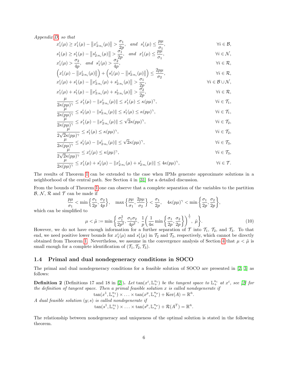Appendix [D,](#page-22-1) so that

$$
x_1^i(\mu) \ge x_1^i(\mu) - ||x_{2:n_i}^i(\mu)|| > \frac{\sigma_1}{2p}, \text{ and } s_1^i(\mu) \le \frac{p\mu}{\sigma_1},
$$
  
\n
$$
s_1^i(\mu) \ge s_1^i(\mu) - ||s_{2:n_i}^i(\mu)|| > \frac{\sigma_1}{2p}, \text{ and } x_1^i(\mu) \le \frac{p\mu}{\sigma_1},
$$
  
\n
$$
\forall i \in \mathcal{N},
$$

$$
x_1^i(\mu) > \frac{\sigma_2}{4p}, \quad \text{and} \quad s_1^i(\mu) > \frac{\sigma_2^{2p}}{4p}, \qquad \forall i \in \mathcal{R},
$$
\n
$$
\left( \begin{array}{ccc} i & \text{if } i \leq i \end{array} \right) \cup \left( \begin{array}{ccc} i & \text{if } i \leq i \end{array} \right) \cup \left( \begin{array}{ccc} 2p\mu & & \text{if } i \leq j \end{array} \right)
$$

$$
\left(x_1^i(\mu) - \|x_{2:n_i}^i(\mu)\|\right) + \left(s_1^i(\mu) - \|s_{2:n_i}^i(\mu)\|\right) \le \frac{2p\mu}{\sigma_2},
$$
  
\n
$$
x_1^i(\mu) + s_1^i(\mu) - \|x_{2:n_i}^i(\mu) + s_{2:n_i}^i(\mu)\| > \frac{\sigma_1}{2p},
$$
  
\n
$$
\forall i \in \mathcal{B} \cup \mathcal{N},
$$
  
\n
$$
\forall i \in \mathcal{B} \cup \mathcal{N},
$$

$$
x_1^i(\mu) + s_1^i(\mu) - ||x_{2:n_i}^i(\mu) + s_{2:n_i}^i(\mu)|| > \frac{2p}{2p},
$$
  
\n
$$
x_1^i(\mu) + s_1^i(\mu) - ||x_{2:n_i}^i(\mu) + s_{2:n_i}^i(\mu)|| > \frac{\sigma_2}{2p},
$$
  
\n
$$
\forall i \in \mathcal{R},
$$

$$
\frac{\mu}{2\kappa(p\mu)^{\gamma}} \leq x_1^i(\mu) - \|x_{2:n_i}^i(\mu)\| \leq x_1^i(\mu) \leq \kappa(p\mu)^{\gamma}, \qquad \forall i \in \mathcal{T}_1,
$$

$$
\frac{\mu}{2\kappa(p\mu)^{\gamma}} \le s_1^i(\mu) - \|s_{2:n_i}^i(\mu)\| \le s_1^i(\mu) \le \kappa(p\mu)^{\gamma}, \qquad \forall i \in \mathcal{T}_1,
$$
  

$$
\frac{\mu}{2\kappa(p\mu)^{\gamma}} \le x_1^i(\mu) - \|x_{2:n_i}^i(\mu)\| \le \sqrt{2}\kappa(p\mu)^{\gamma}, \qquad \forall i \in \mathcal{T}_2,
$$

$$
\frac{\mu}{2\kappa(p\mu)^{\gamma}} \leq x_1^i(\mu) - \|x_{2:n_i}^i(\mu)\| \leq \sqrt{2}\kappa(p\mu)^{\gamma}, \qquad \forall i \in \mathcal{T}_2,
$$
\n
$$
\mu < x_i^i(\mu) \leq x(\mu)\gamma \qquad \forall i \in \mathcal{T}_1,
$$

$$
\frac{\mu}{2\sqrt{2}\kappa(p\mu)^{\gamma}} \le s_1^i(\mu) \le \kappa(p\mu)^{\gamma}, \qquad \forall i \in \mathcal{T}_2,
$$
  

$$
\frac{\mu}{2\sqrt{2}\kappa(p\mu)^{\gamma}} \le s_1^i(\mu) - \|s_{2:n_i}^i(\mu)\| \le \sqrt{2}\kappa(p\mu)^{\gamma}, \qquad \forall i \in \mathcal{T}_3,
$$

$$
\frac{\mu}{2\kappa(p\mu)^{\gamma}} \leq s_1^i(\mu) - \|s_{2:n_i}^i(\mu)\| \leq \sqrt{2\kappa(p\mu)^{\gamma}},
$$
  
\n
$$
\frac{\mu}{2\sqrt{2\kappa(p\mu)^{\gamma}}} \leq x_1^i(\mu) \leq \kappa(p\mu)^{\gamma},
$$
  
\n
$$
\forall i \in \mathcal{T}_3,
$$
  
\n
$$
\forall i \in \mathcal{T}_3,
$$

$$
\frac{\mu}{2\kappa(p\mu)^{\gamma}} \leq x_1^i(\mu) + s_1^i(\mu) - \|x_{2:n_i}^i(\mu) + s_{2:n_i}^i(\mu)\| \leq 4\kappa(p\mu)^{\gamma}, \qquad \forall i \in \mathcal{T}.
$$

The results of Theorem [1](#page-4-1) can be extended to the case when IPMs generate approximate solutions in a neighborhood of the central path. See Section 4 in [\[31\]](#page-18-8) for a detailed discussion.

From the bounds of Theorem [1](#page-4-1) one can observe that a complete separation of the variables to the partition  $\mathcal{B}, \mathcal{N}, \mathcal{R}$  and  $\mathcal{T}$  can be made if

$$
\frac{p\mu}{\sigma_1} < \min\left\{\frac{\sigma_1}{2p}, \frac{\sigma_2}{4p}\right\}, \quad \max\left\{\frac{p\mu}{\sigma_1}, \frac{2p\mu}{\sigma_2}\right\} < \frac{\sigma_1}{2p}, \quad 4\kappa(p\mu)^\gamma < \min\left\{\frac{\sigma_1}{2p}, \frac{\sigma_2}{2p}\right\},
$$

which can be simplified to

<span id="page-5-0"></span>
$$
\mu < \tilde{\mu} := \min\left\{\frac{\sigma_1^2}{2p^2}, \frac{\sigma_1 \sigma_2}{4p^2}, \frac{1}{p} \left(\frac{1}{4\kappa} \min\left\{\frac{\sigma_1}{2p}, \frac{\sigma_2}{2p}\right\}\right)^{\frac{1}{\gamma}}, \hat{\mu}\right\}.\tag{10}
$$

However, we do not have enough information for a further separation of  $\mathcal T$  into  $\mathcal T_1$ ,  $\mathcal T_2$ , and  $\mathcal T_3$ . To that end, we need positive lower bounds for  $x_1^i(\mu)$  and  $s_1^i(\mu)$  in  $\mathcal{T}_2$  and  $\mathcal{T}_3$ , respectively, which cannot be directly obtained from Theorem [1.](#page-4-1) Nevertheless, we assume in the convergence analysis of Section [4](#page-9-0) that  $\mu < \tilde{\mu}$  is small enough for a complete identification of  $(\mathcal{T}_1, \mathcal{T}_2, \mathcal{T}_3)$ .

### 1.4 Primal and dual nondegeneracy conditions in SOCO

The primal and dual nondegeneracy conditions for a feasible solution of SOCO are presented in [\[2,](#page-16-0) [3\]](#page-16-2) as follows:

**Definition 2** (Definitions 17 and 18 in [\[2\]](#page-16-0)). Let  $tan(x^i, \mathbb{L}^{n_i}_+)$  be the tangent space to  $\mathbb{L}^{n_i}_+$  at  $x^i$ , see [2] for the definition of tangent space. Then a primal feasible solution  $x$  is called nondegenerate if

$$
\tan(x^1, \mathbb{L}_+^{n_1}) \times \ldots \times \tan(x^p, \mathbb{L}_+^{n_p}) + \text{Ker}(A) = \mathbb{R}^{\bar{n}}.
$$
  
*A dual feasible solution (y; s) is called nondegenerate if*  

$$
\tan(s^1, \mathbb{L}_+^{n_1}) \times \ldots \times \tan(s^p, \mathbb{L}_+^{n_p}) + \mathcal{R}(A^T) = \mathbb{R}^{\bar{n}}.
$$

The relationship between nondegeneracy and uniqueness of the optimal solution is stated in the following theorem.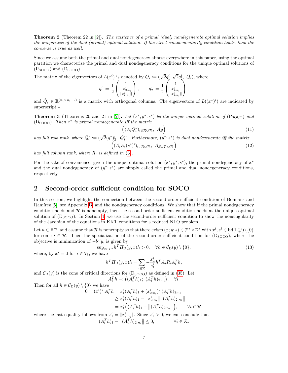Theorem 2 (Theorem 22 in [\[2\]](#page-16-0)). The existence of a primal (dual) nondegenerate optimal solution implies the uniqueness of the dual (primal) optimal solution. If the strict complementarity condition holds, then the converse is true as well.

Since we assume both the primal and dual nondegeneracy almost everywhere in this paper, using the optimal partition we characterize the primal and dual nondegeneracy conditions for the unique optimal solutions of  $(P_{SOCO})$  and  $(D_{SOCO})$ .

The matrix of the eigenvectors of  $L(x^i)$  is denoted by  $Q_i := (\sqrt{2}q_1^i)$ , √  $\overline{2}q_2^i, \ \hat{Q}_i$ , where

$$
q_1^i := \frac{1}{2} \begin{pmatrix} 1 \\ \frac{-x_{2:n_i}^i}{\|x_{2:n_i}^i\|} \end{pmatrix}, \qquad q_2^i := \frac{1}{2} \begin{pmatrix} 1 \\ \frac{x_{2:n_i}^i}{\|x_{2:n_i}^i\|} \end{pmatrix},
$$

and  $\hat{Q}_i \in \mathbb{R}^{(n_i \times n_i - 2)}$  is a matrix with orthogonal columns. The eigenvectors of  $L((x^*)^i)$  are indicated by superscript ∗.

<span id="page-6-4"></span>**Theorem 3** (Theorems 20 and 21 in [\[2\]](#page-16-0)). Let  $(x^*; y^*; s^*)$  be the unique optimal solution of  $(P_{SOCO})$  and ( $D_{\text{SOCO}}$ ). Then  $x^*$  is primal nondegenerate iff the matrix

<span id="page-6-3"></span><span id="page-6-2"></span>
$$
\left( (A_i \bar{Q}_i^*)_{i \in \mathcal{R} \cup \mathcal{T}_2}, \ A_\mathcal{B} \right) \tag{11}
$$

has full row rank, where  $\bar{Q}_i^* := (\sqrt{2}(q^*)^i_2, \hat{Q}_i^*)$ . Furthermore,  $(y^*; s^*)$  is dual nondegenerate iff the matrix  $((A_i R_i(s^*)^i)_{i \in \mathcal{R} \cup \mathcal{T}_3}, A_{\mathcal{B} \cup \mathcal{T}_1 \cup \mathcal{T}_2})$ (12)

has full column rank, where  $R_i$  is defined in

For the sake of convenience, given the unique optimal solution  $(x^*; y^*; s^*)$ , the primal nondegeneracy of  $x^*$ and the dual nondegeneracy of  $(y^*; s^*)$  are simply called the primal and dual nondegeneracy conditions, respectively.

# <span id="page-6-0"></span>2 Second-order sufficient condition for SOCO

In this section, we highlight the connection between the second-order sufficient condition of Bonnans and Ramírez [\[5\]](#page-16-3), see Appendix [B,](#page-19-0) and the nondegeneracy conditions. We show that if the primal nondegeneracy condition holds and  $R$  is nonempty, then the second-order sufficient condition holds at the unique optimal solution of  $(D<sub>SOCO</sub>)$ . In Section [4,](#page-9-0) we use the second-order sufficient condition to show the nonsingularity of the Jacobian of the equations in KKT conditions for a reduced NLO problem.

Let  $h \in \mathbb{R}^m$ , and assume that  $\mathcal R$  is nonempty so that there exists  $(x; y; s) \in \mathcal P^* \times \mathcal D^*$  with  $x^i, s^i \in \text{bd}(\mathbb{L}^{n_i}_+) \setminus \{0\}$ for some  $i \in \mathcal{R}$ . Then the specialization of the second-order sufficient condition for (D<sub>SOCO</sub>), where the objective is minimization of  $-b<sup>T</sup>y$ , is given by

where, by 
$$
x^i = 0
$$
 for  $i \in \mathcal{T}_3$ , we have\n
$$
\sup_{x \in \mathcal{P}^*} h^T H_D(y, x) h > 0, \quad \forall h \in \mathcal{C}_D(y) \setminus \{0\},\tag{13}
$$

<span id="page-6-1"></span>
$$
h^T H_{\rm D}(y, x) h = \sum_{i \in \mathcal{R}} -\frac{x_1^i}{s_1^i} h^T A_i R_i A_i^T h,
$$

and  $C_{D}(y)$  is the cone of critical directions for  $(D_{\text{SOCO}})$  as defined in [\(35\)](#page-19-1). Let  $A_i^T h =: ((A_i^T h)_1; (A_i^T h)_{2:n_i}), \quad \forall i.$ 

Then for all 
$$
h \in C_D(y) \setminus \{0\}
$$
 we have  
\n
$$
0 = (x^i)^T A_i^T h = x_1^i (A_i^T h)_1 + (x_{2:n_i}^i)^T (A_i^T h)_{2:n_i}
$$
\n
$$
\geq x_1^i (A_i^T h)_1 - ||x_{2:n_i}^i|| ||(A_i^T h)_{2:n_i}||
$$
\n
$$
= x_1^i ((A_i^T h)_1 - ||(A_i^T h)_{2:n_i}||), \qquad \forall i \in \mathcal{R},
$$

where the last equality follows from  $x_1^i = \|x_{2:n_i}^i\|$ . Since  $x_1^i > 0$ , we can conclude that  $(A_i^T h)_1 - ||(A_i^T h)_{2:n_i}|| \leq 0,$   $\forall i \in \mathcal{R}.$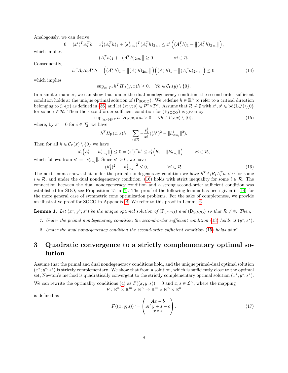Analogously, we can derive

$$
0 = (x^{i})^{T} A_{i}^{T} h = x_{1}^{i} (A_{i}^{T} h)_{1} + (x_{2:n_{i}}^{i})^{T} (A_{i}^{T} h)_{2:n_{i}} \leq x_{1}^{i} ((A_{i}^{T} h)_{1} + ||(A_{i}^{T} h)_{2:n_{i}}||),
$$

which implies

$$
(A_i^T h)_1 + ||(A_i^T h)_{2:n_i}|| \ge 0, \qquad \forall i \in \mathcal{R}.
$$

Consequently,

<span id="page-7-5"></span>
$$
h^T A_i R_i A_i^T h = ((A_i^T h)_1 - || (A_i^T h)_{2:n_i} ||)(A_i^T h)_1 + || (A_i^T h)_{2:n_i} ||) \le 0,
$$
\n(14)

which implies

$$
\sup_{x \in \mathcal{P}^*} h^T H_D(y, x) h \ge 0, \quad \forall h \in \mathcal{C}_D(y) \setminus \{0\}.
$$

In a similar manner, we can show that under the dual nondegeneracy condition, the second-order sufficient condition holds at the unique optimal solution of ( $P_{\text{SOC}}$ ). We redefine  $h \in \mathbb{R}^{\bar{n}}$  to refer to a critical direction belonging to  $C_{\mathcal{P}}(x)$  as defined in [\(36\)](#page-19-2) and let  $(x; y; s) \in \mathcal{P}^* \times \mathcal{D}^*$ . Assume that  $\mathcal{R} \neq \emptyset$  with  $x^i, s^i \in \text{bd}(\mathbb{L}^{n_i}_+) \setminus \{0\}$ for some  $i \in \mathcal{R}$ . Then the second-order sufficient condition for  $(P_{\text{SOCO}})$  is given by

$$
\sup_{(y;s)\in\mathcal{D}^*} h^T H_P(x,s)h > 0, \quad \forall h \in \mathcal{C}_P(x) \setminus \{0\},\tag{15}
$$

where, by  $s^i = 0$  for  $i \in \mathcal{T}_2$ , we have

<span id="page-7-2"></span>
$$
h^T H_{\mathcal{P}}(x,s)h = \sum_{i \in \mathcal{R}} -\frac{s_1^i}{x_1^i}((h_1^i)^2 - \|h_{2:n_i}^i\|^2).
$$

Then for all  $h \in C_{\mathcal{P}}(x) \setminus \{0\}$  we have

$$
s_1^i\left(h_1^i - \|h_{2:n_i}^i\|\right) \le 0 = (s^i)^T h^i \le s_1^i\left(h_1^i + \|h_{2:n_i}^i\|\right), \qquad \forall i \in \mathcal{R},
$$

which follows from  $s_1^i = ||s_{2:n_i}^i||$ . Since  $s_1^i > 0$ , we have

<span id="page-7-1"></span>
$$
(h_1^i)^2 - ||h_{2:n_i}^i||^2 \le 0, \qquad \forall i \in \mathcal{R}.
$$
 (16)

The next lemma shows that under the primal nondegeneracy condition we have  $h^T A_i R_i A_i^T h < 0$  for some  $i \in \mathcal{R}$ , and under the dual nondegeneracy condition [\(16\)](#page-7-1) holds with strict inequality for some  $i \in \mathcal{R}$ . The connection between the dual nondegeneracy condition and a strong second-order sufficient condition was established for SDO, see Proposition 15 in [\[7\]](#page-17-10). The proof of the following lemma has been given in [\[14\]](#page-17-11) for the more general case of symmetric cone optimization problems. For the sake of completeness, we provide an illustrative proof for SOCO in Appendix [B.](#page-19-0) We refer to this proof in Lemma [6.](#page-12-0)

<span id="page-7-3"></span>**Lemma 1.** Let  $(x^*; y^*; s^*)$  be the unique optimal solution of  $(P_{SOCO})$  and  $(D_{SOCO})$  so that  $\mathcal{R} \neq \emptyset$ . Then,

- 1. Under the primal nondegeneracy condition the second-order sufficient condition [\(13\)](#page-6-1) holds at  $(y^*; s^*)$ .
- 2. Under the dual nondegeneracy condition the second-order sufficient condition [\(15\)](#page-7-2) holds at  $x^*$ .

# <span id="page-7-0"></span>3 Quadratic convergence to a strictly complementary optimal solution

Assume that the primal and dual nondegeneracy conditions hold, and the unique primal-dual optimal solution  $(x^*; y^*; s^*)$  is strictly complementary. We show that from a solution, which is sufficiently close to the optimal set, Newton's method is quadratically convergent to the strictly complementary optimal solution  $(x^*; y^*; s^*)$ .

We can rewrite the optimality conditions [\(4\)](#page-3-0) as  $F((x; y; s)) = 0$  and  $x, s \in \mathcal{L}_{+}^{\bar{n}}$ , where the mapping  $F: \mathbb{R}^{\bar{n}} \times \mathbb{R}^m \times \mathbb{R}^{\bar{n}} \to \mathbb{R}^m \times \mathbb{R}^{\bar{n}} \times \mathbb{R}^{\bar{n}}$ 

is defined as

<span id="page-7-4"></span>
$$
F((x; y; s)) := \begin{pmatrix} Ax - b \\ A^T y + s - c \\ x \circ s \end{pmatrix}.
$$
 (17)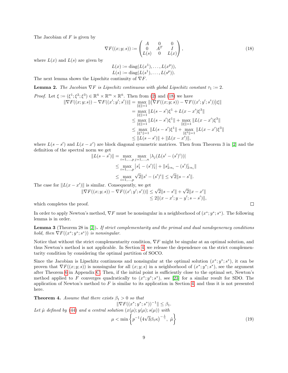The Jacobian of  $F$  is given by

$$
\nabla F((x;y;s)) := \begin{pmatrix} A & 0 & 0 \\ 0 & A^T & I \\ L(s) & 0 & L(x) \end{pmatrix},\tag{18}
$$

where  $L(x)$  and  $L(s)$  are given by

<span id="page-8-0"></span>
$$
L(x) := \text{diag}(L(x^1), \dots, L(x^p)),
$$
  

$$
L(s) := \text{diag}(L(s^1), \dots, L(s^p)).
$$

The next lemma shows the Lipschitz continuity of  $\nabla F$ .

<span id="page-8-1"></span>**Lemma 2.** The Jacobian  $\nabla F$  is Lipschitz continuous with global Lipschitz constant  $\tau_1 := 2$ .

Proof. Let 
$$
\xi := (\xi^1; \xi^2; \xi^3) \in \mathbb{R}^{\bar{n}} \times \mathbb{R}^m \times \mathbb{R}^{\bar{n}}
$$
. Then from (2) and (18) we have  
\n
$$
\|\nabla F((x; y; s)) - \nabla F((x'; y'; s'))\| = \max_{\|\xi\| = 1} \|(\nabla F((x; y; s)) - \nabla F((x'; y'; s')))\xi\|
$$
\n
$$
= \max_{\|\xi\| = 1} \|L(s - s')\xi^1 + L(x - x')\xi^3\|
$$
\n
$$
\leq \max_{\|\xi\| = 1} \|L(s - s')\xi^1\| + \max_{\|\xi\| = 1} \|L(x - x')\xi^3\|
$$
\n
$$
\leq \max_{\|\xi^1\| = 1} \|L(s - s')\xi^1\| + \max_{\|\xi^3\| = 1} \|L(x - x')\xi^3\|
$$
\n
$$
\leq \|L(s - s')\| + \|L(x - x')\|,
$$

where  $L(s - s')$  and  $L(x - x')$  are block diagonal symmetric matrices. Then from Theorem 3 in [\[2\]](#page-16-0) and the definition of the spectral norm we get

$$
||L(s - s')|| = \max_{i=1,\dots,p} \max_{j=1,\dots,n} |\lambda_j (L(s^i - (s')^i))|
$$
  
\n
$$
\leq \max_{i=1,\dots,p} |s_1^i - (s')_1^i| + ||s_{2:n_i}^i - (s')_{2:n_i}^i||
$$
  
\n
$$
\leq \max_{i=1,\dots,p} \sqrt{2} ||s^i - (s')^i|| \leq \sqrt{2} ||s - s'||.
$$

The case for  $||L(x - x')||$  is similar. Consequently, we get<br> $||\nabla F((x; y; s)) - \nabla F((x'; y'; s'))|| \le \sqrt{\frac{2}{\pi}}$ 

$$
\|\nabla F((x; y; s)) - \nabla F((x'; y'; s'))\| \le \sqrt{2} \|s - s'\| + \sqrt{2} \|x - x'\|
$$
  
\n
$$
\le 2 \| (x - x'; y - y'; s - s') \|,
$$

which completes the proof.

In order to apply Newton's method,  $\nabla F$  must be nonsingular in a neighborhood of  $(x^*; y^*; s^*)$ . The following lemma is in order.

**Lemma 3** (Theorem 28 in [\[2\]](#page-16-0)). If strict complementarity and the primal and dual nondegeneracy conditions hold, then  $\nabla F((x^*; y^*; s^*))$  is nonsingular.

Notice that without the strict complementarity condition,  $\nabla F$  might be singular at an optimal solution, and thus Newton's method is not applicable. In Section [4,](#page-9-0) we release the dependence on the strict complementarity condition by considering the optimal partition of SOCO.

Since the Jacobian is Lipschitz continuous and nonsingular at the optimal solution  $(x^*; y^*; s^*)$ , it can be proven that  $\nabla F((x; y; s))$  is nonsingular for all  $(x; y; s)$  in a neighborhood of  $(x^*; y^*; s^*)$ , see the argument after Theorem [6](#page-21-0) in Appendix [C.](#page-21-1) Then, if the initial point is sufficiently close to the optimal set, Newton's method applied to F converges quadratically to  $(x^*; y^*; s^*)$ , see [\[23\]](#page-17-12) for a similar result for SDO. The application of Newton's method to  $F$  is similar to its application in Section [4,](#page-9-0) and thus it is not presented here.

**Theorem 4.** Assume that there exists  $\beta_1 > 0$  so that  $\|\nabla F((x^*; y^*; s^*))^{-1}\| \leq \beta_1.$ Let  $\hat{\mu}$  defined by [\(44\)](#page-23-1) and a central solution  $(x(\mu); y(\mu); s(\mu))$  with  $\mu < \min \left\{ p^{-1}(4) \right\}$ √  $(\overline{3}\beta_1\kappa)^{-\frac{1}{\gamma}}, \ \hat{\mu}\Big\}$ (19)

<span id="page-8-2"></span> $\Box$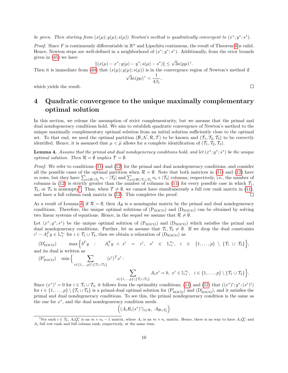be given. Then starting from  $(x(\mu); y(\mu); s(\mu))$  Newton's method is quadratically convergent to  $(x^*; y^*; s^*)$ .

*Proof.* Since F is continuously differentiable in  $\mathbb{R}^n$  and Lipschitz continuous, the result of Theorem [6](#page-21-0) is valid. Hence, Newton steps are well-defined in a neighborhood of  $(x^*; y^*; s^*)$ . Additionally, from the error bounds given in [\(45\)](#page-23-2) we have

$$
||(x(\mu) - x^*; y(\mu) - y^*; s(\mu) - s^*)|| \le \sqrt{3}\kappa(p\mu)^{\gamma}.
$$

Then it is immediate from [\(40\)](#page-21-2) that  $(x(\mu); y(\mu); s(\mu))$  is in the convergence region of Newton's method if

$$
\sqrt{3}\kappa(p\mu)^{\gamma} < \frac{1}{4\beta_1},
$$

which yields the result.

# <span id="page-9-0"></span>4 Quadratic convergence to the unique maximally complementary optimal solution

In this section, we release the assumption of strict complementarity, but we assume that the primal and dual nondegeneracy conditions hold. We aim to establish quadratic convergence of Newton's method to the unique maximally complementary optimal solution from an initial solution sufficiently close to the optimal set. To that end, we need the optimal partition  $(\mathcal{B}, \mathcal{N}, \mathcal{R}, \mathcal{T})$  to be known and  $(\mathcal{T}_1, \mathcal{T}_2, \mathcal{T}_3)$  to be correctly identified. Hence, it is assumed that  $\mu < \tilde{\mu}$  allows for a complete identification of  $(\mathcal{T}_1, \mathcal{T}_2, \mathcal{T}_3)$ .

<span id="page-9-2"></span>**Lemma 4.** Assume that the primal and dual nondegeneracy conditions hold, and let  $(x^*; y^*; s^*)$  be the unique optimal solution. Then  $\mathcal{R} = \emptyset$  implies  $\mathcal{T} = \emptyset$ .

Proof. We refer to conditions [\(11\)](#page-6-2) and [\(12\)](#page-6-3) for the primal and dual nondegeneracy conditions, and consider all the possible cases of the optimal partition when  $\mathcal{R} = \emptyset$ . Note that both matrices in [\(11\)](#page-6-2) and [\(12\)](#page-6-3) have m rows, but they have  $\sum_{i\in\mathcal{B}\cup\mathcal{T}_2} n_i - |\mathcal{T}_2|$  and  $\sum_{i\in\mathcal{B}\cup\mathcal{T}_1\cup\mathcal{T}_2} n_i + |\mathcal{T}_3|$  columns, respectively, i.e., the number of columns in [\(12\)](#page-6-3) is strictly greater than the number of columns in [\(11\)](#page-6-2) for every possible case in which  $\mathcal{T}_1$ ,  $\mathcal{T}_2$ , or  $\mathcal{T}_3$  is nonempty<sup>[1](#page-9-1)</sup>. Thus, when  $\mathcal{T} \neq \emptyset$ , we cannot have simultaneously a full row rank matrix in [\(11\)](#page-6-2), and have a full column rank matrix in [\(12\)](#page-6-3). This completes the proof.  $\Box$ 

As a result of Lemma [4,](#page-9-2) if  $\mathcal{R} = \emptyset$ , then  $A_{\mathcal{B}}$  is a nonsingular matrix by the primal and dual nondegeneracy conditions. Therefore, the unique optimal solutions of  $(P_{SOCO})$  and  $(D_{SOCO})$  can be obtained by solving two linear systems of equations. Hence, in the sequel we assume that  $\mathcal{R} \neq \emptyset$ .

Let  $(x^*; y^*; s^*)$  be the unique optimal solution of  $(P_{SOCO})$  and  $(D_{SOCO})$  which satisfies the primal and dual nondegeneracy conditions. Further, let us assume that  $\mathcal{T}_1, \mathcal{T}_3 \neq \emptyset$ . If we drop the dual constraints  $c^i - A_i^T y \in \mathbb{L}^{n_i}_+$  for  $i \in \mathcal{T}_1 \cup \mathcal{T}_3$ , then we obtain a relaxation of  $(D_{\text{SOCO}})$  as

 $(D'_{SOCO})$  $\begin{array}{rclcrcl} \text{SOCO)} & & \text{max} \, \Big\{ b^T y & : & A_i^T y \; + \; s^i & = & c^i, \; \; s^i & \in & \mathbb{L}^{n_i}_+ , & i & \in & \{1, \dots, p\} \, \setminus \, \{\mathcal{T}_1 \; \cup \; \mathcal{T}_3\} \Big\}, \end{array}$ and its dual is written as

$$
\begin{array}{ll}\n\text{(P}_{\text{SOCO}}') & \min\Big\{\sum_{i\in\{1,\ldots,p\}\backslash\{\mathcal{T}_1\cup\mathcal{T}_3\}}(c^i)^T x^i: \\\ & \sum_{i\in\{1,\ldots,p\}\backslash\{\mathcal{T}_1\cup\mathcal{T}_3\}} A_i x^i = b,\ x^i\in\mathbb{L}_+^{n_i},\ i\in\{1,\ldots,p\}\setminus\{\mathcal{T}_1\cup\mathcal{T}_3\}\Big\}.\n\end{array}
$$

Since  $(x^*)^i = 0$  for  $i \in \mathcal{T}_1 \cup \mathcal{T}_3$ , it follows from the optimality conditions, [\(11\)](#page-6-2) and [\(12\)](#page-6-3) that  $((x^*)^i; y^*; (s^*)^i)$ for  $i \in \{1,\ldots,p\} \setminus \{\mathcal{T}_1 \cup \mathcal{T}_3\}$  is a primal-dual optimal solution for  $(P'_{\text{SOCO}})$  and  $(D'_{\text{SOCO}})$ , and it satisfies the primal and dual nondegeneracy conditions. To see this, the primal nondegeneracy condition is the same as the one for  $x^*$ , and the dual nondegeneracy condition needs

$$
((A_i R_i(s^*)^i)_{i \in \mathcal{R}}, A_{\mathcal{B} \cup \mathcal{T}_2})
$$

 $\Box$ 

<span id="page-9-1"></span><sup>&</sup>lt;sup>1</sup>For each  $i \in \mathcal{T}_2$ ,  $A_i \overline{Q}_i^*$  is an  $m \times n_i - 1$  matrix, where  $A_i$  is an  $m \times n_i$  matrix. Hence, there is no way to have  $A_i \overline{Q}_i^*$  and  $\mathcal{A}_i$  full row rank and full column rank, respectively, at the same time.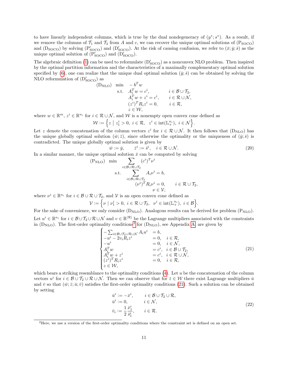to have linearly independent columns, which is true by the dual nondegeneracy of  $(y^*; s^*)$ . As a result, if we remove the columns of  $\mathcal{T}_1$  and  $\mathcal{T}_3$  from A and c, we can recover the unique optimal solutions of (P<sub>SOCO</sub>) and  $(D<sub>SOCO</sub>)$  by solving  $(P'<sub>SOCO</sub>)$  and  $(D'<sub>SOCO</sub>)$ . At the risk of causing confusion, we refer to  $(\bar{x}; \bar{y}; \bar{s})$  as the unique optimal solution of  $(\overline{P}_{\text{SOCO}}')$  and  $(\overline{D}_{\text{SOCO}}')$ .

The algebraic definition [\(1\)](#page-1-1) can be used to reformulate  $(D'_{SOCO})$  as a nonconvex NLO problem. Then inspired by the optimal partition information and the characteristics of a maximally complementary optimal solution specified by [\(6\)](#page-4-2), one can realize that the unique dual optimal solution  $(\bar{y}; \bar{s})$  can be obtained by solving the NLO reformulation of  $(D'_{\text{SOCO}})$  as

(D<sub>NLO</sub>) min 
$$
-b^T w
$$
  
\ns.t.  $A_i^T w = c^i$ ,  $i \in \mathcal{B} \cup \mathcal{T}_2$ ,  
\n $A_i^T w + z^i = c^i$ ,  $i \in \mathcal{R} \cup \mathcal{N}$ ,  
\n $(z^i)^T R_i z^i = 0$ ,  $i \in \mathcal{R}$ ,  
\n $z \in \mathcal{W}$ ,

where  $w \in \mathbb{R}^m$ ,  $z^i \in \mathbb{R}^{n_i}$  for  $i \in \mathcal{R} \cup \mathcal{N}$ , and W is a nonempty open convex cone defined as

$$
\mathcal{W}:=\Big\{z\ \big|\ z_1^i>0,\ i\in\mathcal{R},\ \ z^i\in\mathrm{int}(\mathbb{L}^{n_i}_+),\ i\in\mathcal{N}\Big\}.
$$

Let z denote the concatenation of the column vectors  $z^i$  for  $i \in \mathcal{R} \cup \mathcal{N}$ . It then follows that  $(D_{\text{NLO}})$  has the unique globally optimal solution  $(\bar{w}, \bar{z})$ , since otherwise the optimality or the uniqueness of  $(\bar{y}; \bar{s})$  is contradicted. The unique globally optimal solution is given by

<span id="page-10-3"></span>
$$
\bar{w} := \bar{y}, \qquad \bar{z}^i := \bar{s}^i, \quad i \in \mathcal{R} \cup \mathcal{N}.
$$
\n
$$
(20)
$$

In a similar manner, the unique optimal solution  $\bar{x}$  can be computed by solving

$$
\begin{aligned} \text{(P}_{\text{NLO})} \quad & \min \quad \sum_{i \in \mathcal{B} \cup \mathcal{R} \cup \mathcal{T}_2} (c^i)^T \nu^i \\ & \text{s.t.} \quad \sum_{i \in \mathcal{B} \cup \mathcal{R} \cup \mathcal{T}_2} A_i \nu^i = b, \\ & (\nu^i)^T R_i \nu^i = 0, \qquad i \in \mathcal{R} \cup \mathcal{T}_2, \\ & \nu \in \mathcal{V}, \end{aligned}
$$

where  $\nu^i \in \mathbb{R}^{n_i}$  for  $i \in \mathcal{B} \cup \mathcal{R} \cup \mathcal{T}_2$ , and  $\mathcal{V}$  is an open convex cone defined as

$$
\mathcal{V} := \left\{ \nu \mid \nu_1^i > 0, \ i \in \mathcal{R} \cup \mathcal{T}_2, \ \nu^i \in \text{int}(\mathbb{L}_+^{n_i}), \ i \in \mathcal{B} \right\}.
$$

For the sake of convenience, we only consider  $(D_{NLO})$ . Analogous results can be derived for problem  $(P_{NLO})$ . Let  $u^i \in \mathbb{R}^{n_i}$  for  $i \in \mathcal{B} \cup \mathcal{T}_2 \cup \mathcal{R} \cup \mathcal{N}$  and  $v \in \mathbb{R}^{|\mathcal{R}|}$  be the Lagrange multipliers associated with the constraints in  $(D_{\text{NLO}})$ . The first-order optimality conditions<sup>[2](#page-10-0)</sup> for  $(D_{\text{NLO}})$ , see Appendix [A,](#page-18-9) are given by

<span id="page-10-1"></span>
$$
\begin{cases}\n-\sum_{i\in\mathcal{B}\cup\mathcal{T}_2\cup\mathcal{R}\cup\mathcal{N}} A_i u^i &= b, \\
-u^i - 2v_i R_i z^i &= 0, \quad i \in \mathcal{R}, \\
-u^i &= 0, \quad i \in \mathcal{N}, \\
A_i^T w &= c^i, \quad i \in \mathcal{B}\cup\mathcal{T}_2, \\
A_i^T w + z^i &= c^i, \quad i \in \mathcal{R}\cup\mathcal{N}, \\
(z^i)^T R_i z^i &= 0, \quad i \in \mathcal{R}, \\
z \in \mathcal{W},\n\end{cases} (21)
$$

which bears a striking resemblance to the optimality conditions  $(4)$ . Let u be the concatenation of the column vectors  $u^i$  for  $i \in \mathcal{B} \cup \mathcal{T}_2 \cup \mathcal{R} \cup \mathcal{N}$ . Then we can observe that for  $\bar{z} \in \mathcal{W}$  there exist Lagrange multipliers  $\bar{u}$ and  $\bar{v}$  so that  $(\bar{w}; \bar{z}; \bar{u}; \bar{v})$  satisfies the first-order optimality conditions [\(21\)](#page-10-1). Such a solution can be obtained by setting

<span id="page-10-2"></span>
$$
\begin{aligned}\n\bar{u}^i &:= -\bar{x}^i, & i \in \mathcal{B} \cup \mathcal{T}_2 \cup \mathcal{R}, \\
\bar{u}^i &:= 0, & i \in \mathcal{N}, \\
\bar{v}_i &:= \frac{1}{2} \frac{\bar{x}_1^i}{\bar{s}_1^i}, & i \in \mathcal{R}.\n\end{aligned} \tag{22}
$$

<span id="page-10-0"></span><sup>2</sup>Here, we use a version of the first-order optimality conditions where the constraint set is defined on an open set.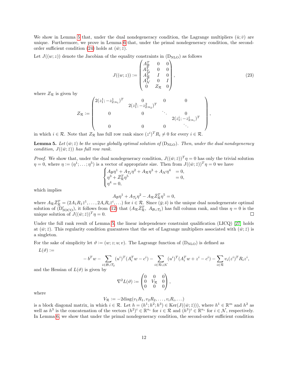We show in Lemma [5](#page-11-0) that, under the dual nondegeneracy condition, the Lagrange multipliers  $(\bar{u}; \bar{v})$  are unique. Furthermore, we prove in Lemma [6](#page-12-0) that, under the primal nondegeneracy condition, the second-order sufficient condition [\(24\)](#page-12-1) holds at  $(\bar{w}; \bar{z})$ .

Let  $J((w; z))$  denote the Jacobian of the equality constraints in  $(D_{\text{NLO}})$  as follows

<span id="page-11-1"></span>
$$
J((w;z)) := \begin{pmatrix} A_B^T & 0 & 0 \\ A_{72}^T & 0 & 0 \\ A_{72}^T & I & 0 \\ A_{\mathcal{N}}^T & 0 & I \\ 0 & Z_{\mathcal{R}} & 0 \end{pmatrix},
$$
 (23)

where  $Z_{\mathcal{R}}$  is given by

$$
Z_{\mathcal{R}} := \begin{pmatrix} 2(z_1^1; -z_{2:n_1}^1)^T & 0 & 0 & 0 \\ & 2(z_1^2; -z_{2:n_2}^2)^T & & & \\ & 0 & 0 & \ddots & 0 \\ & & 0 & 0 & 2(z_1^i; -z_{2:n_i}^i)^T \\ & & 0 & 0 & \ddots \end{pmatrix},
$$

in which  $i \in \mathcal{R}$ . Note that  $Z_{\mathcal{R}}$  has full row rank since  $(z^i)^T R_i \neq 0$  for every  $i \in \mathcal{R}$ .

<span id="page-11-0"></span>**Lemma 5.** Let  $(\bar{w}; \bar{z})$  be the unique globally optimal solution of  $(D_{NLO})$ . Then, under the dual nondegeneracy condition,  $J((\bar{w}; \bar{z}))$  has full row rank.

*Proof.* We show that, under the dual nondegeneracy condition,  $J((\bar{w}; \bar{z}))^T \eta = 0$  has only the trivial solution  $\eta = 0$ , where  $\eta := (\eta^1; \dots; \eta^5)$  is a vector of appropriate size. Then from  $J((\bar{w}; \bar{z}))^T \eta = 0$  we have

$$
\begin{cases} A_{\mathcal{B}} \eta^1 + A_{\mathcal{T}_2} \eta^2 + A_{\mathcal{R}} \eta^3 + A_{\mathcal{N}} \eta^4 & = 0, \\ \eta^3 + \bar{Z}_{\mathcal{R}}^T \eta^5 & = 0, \\ \eta^4 = 0, \end{cases}
$$

which implies

$$
A_{\mathcal{B}}\eta^1 + A_{\mathcal{T}_2}\eta^2 - A_{\mathcal{R}}\bar{Z}_{\mathcal{R}}^T\eta^5 = 0,
$$

where  $A_{\mathcal{R}}\bar{Z}_{\mathcal{R}}^T = (2A_1R_1\bar{z}^1,\ldots,2A_iR_i\bar{z}^i,\ldots)$  for  $i \in \mathcal{R}$ . Since  $(\bar{y};\bar{s})$  is the unique dual nondegenerate optimal solution of  $(D'_{\text{SOC}})$ , it follows from [\(12\)](#page-6-3) that  $(A_{\mathcal{R}}\bar{Z}_{\mathcal{R}}^T, A_{\mathcal{B}\cup\mathcal{I}_2})$  has full column rank, and thus  $\eta = 0$  is the unique solution of  $J((\bar{w}; \bar{z}))^T \eta = 0$ .  $\Box$ 

Under the full rank result of Lemma [5,](#page-11-0) the linear independence constraint qualification (LICQ) [\[27\]](#page-18-10) holds at  $(\bar{w}; \bar{z})$ . This regularity condition guarantees that the set of Lagrange multipliers associated with  $(\bar{w}; \bar{z})$  is a singleton.

For the sake of simplicity let  $\vartheta := (w; z; u; v)$ . The Lagrange function of  $(D_{NLO})$  is defined as

 $L(\vartheta) :=$ 

$$
-b^T w - \sum_{i \in \mathcal{B} \cup \mathcal{T}_2} (u^i)^T (A_i^T w - c^i) - \sum_{i \in \mathcal{R} \cup \mathcal{N}} (u^i)^T (A_i^T w + z^i - c^i) - \sum_{i \in \mathcal{R}} v_i (z^i)^T R_i z^i,
$$

and the Hessian of  $L(\vartheta)$  is given by

$$
\nabla^2 L(\vartheta) := \begin{pmatrix} 0 & 0 & 0 \\ 0 & V_{\mathcal{R}} & 0 \\ 0 & 0 & 0 \end{pmatrix},
$$

where

$$
V_{\mathcal{R}} := -2\mathrm{diag}(v_1R_1, v_2R_2, \dots, v_iR_i, \dots)
$$

is a block diagonal matrix, in which  $i \in \mathcal{R}$ . Let  $h = (h^1; h^2; h^3) \in \text{Ker}(J((\bar{w}; \bar{z})))$ , where  $h^1 \in \mathbb{R}^m$  and  $h^2$  as well as  $h^3$  is the concatenation of the vectors  $(h^2)^i \in \mathbb{R}^{n_i}$  for  $i \in \mathcal{R}$  and  $(h^3)^i \in \mathbb{R}^{n_i}$  for  $i \in \mathcal{N}$ , respectively. In Lemma [6,](#page-12-0) we show that under the primal nondegeneracy condition, the second-order sufficient condition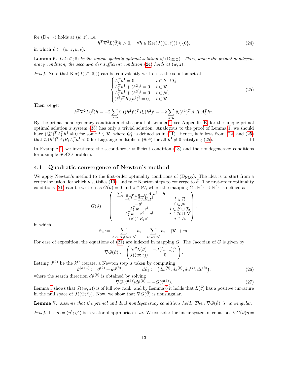for  $(D<sub>NLO</sub>)$  holds at  $(\bar{w}; \bar{z})$ , i.e.,

 $h^T \nabla^2 L(\overline{\vartheta}) h > 0, \quad \forall h \in \text{Ker}(J((\overline{w}; \overline{z}))) \setminus \{0\},$ (24)

in which  $\bar{\vartheta} := (\bar{w}; \bar{z}; \bar{u}; \bar{v}).$ 

<span id="page-12-0"></span>**Lemma 6.** Let  $(\bar{w}, \bar{z})$  be the unique globally optimal solution of  $(D_{NLO})$ . Then, under the primal nondegen-eracy condition, the second-order sufficient condition [\(24\)](#page-12-1) holds at  $(\bar{w}; \bar{z})$ .

*Proof.* Note that  $\text{Ker}(J((\bar{w}; \bar{z})))$  can be equivalently written as the solution set of

<span id="page-12-2"></span><span id="page-12-1"></span>
$$
\begin{cases}\nA_i^T h^1 = 0, & i \in \mathcal{B} \cup \mathcal{T}_2, \\
A_i^T h^1 + (h^2)^i = 0, & i \in \mathcal{R}, \\
A_i^T h^1 + (h^3)^i = 0, & i \in \mathcal{N}, \\
(\bar{z}^i)^T R_i (h^2)^i = 0, & i \in \mathcal{R}.\n\end{cases}
$$
\n(25)

Then we get

$$
h^T \nabla^2 L(\overline{\vartheta}) h = -2 \sum_{i \in \mathcal{R}} \overline{v}_i ((h^2)^i)^T R_i (h^2)^i = -2 \sum_{i \in \mathcal{R}} \overline{v}_i (h^1)^T A_i R_i A_i^T h^1.
$$

By the primal nondegeneracy condition and the proof of Lemma [1,](#page-7-3) see Appendix [B,](#page-19-0) for the unique primal optimal solution  $\bar{x}$  system [\(38\)](#page-20-0) has only a trivial solution. Analogous to the proof of Lemma [1,](#page-7-3) we should have  $(\hat{Q}_i^*)^T A_i^T h^1 \neq 0$  for some  $i \in \mathcal{R}$ , where  $\hat{Q}_i^*$  is defined as in [\(11\)](#page-6-2). Hence, it follows from [\(22\)](#page-10-2) and [\(25\)](#page-12-2) that  $\bar{v}_i(h^1)^T A_i R_i A_i^T h^1 < 0$  for Lagrange multipliers  $(\bar{u}; \bar{v})$  for all  $h^1 \neq 0$  satisfying [\(25\)](#page-12-2).  $\Box$ 

In Example [1,](#page-20-1) we investigate the second-order sufficient condition [\(13\)](#page-6-1) and the nondegeneracy conditions for a simple SOCO problem.

### 4.1 Quadratic convergence of Newton's method

We apply Newton's method to the first-order optimality conditions of  $(D_{NLO})$ . The idea is to start from a central solution, for which  $\mu$  satisfies [\(10\)](#page-5-0), and take Newton steps to converge to  $\bar{\vartheta}$ . The first-order optimality conditions [\(21\)](#page-10-1) can be written as  $G(\vartheta) = 0$  and  $z \in \mathcal{W}$ , where the mapping  $G : \mathbb{R}^{\bar{n}_c} \to \mathbb{R}^{\bar{n}_c}$  is defined as

$$
G(\vartheta) := \begin{pmatrix} -\sum_{i \in \mathcal{B} \cup \mathcal{T}_2 \cup \mathcal{R} \cup \mathcal{N}} A_i u^i - b & & \\ -u^i - 2v_i R_i z^i & & i \in \mathcal{R} \\ -u^i & & i \in \mathcal{N} \\ A_i^T w - c^i & & i \in \mathcal{B} \cup \mathcal{T}_2 \\ A_i^T w + z^i - c^i & & i \in \mathcal{R} \cup \mathcal{N} \\ (z^i)^T R_i z^i & & i \in \mathcal{R} \end{pmatrix},
$$

in which

$$
\bar{n}_c := \sum_{i \in \mathcal{B} \cup \mathcal{T}_2 \cup \mathcal{R} \cup \mathcal{N}} n_i + \sum_{i \in \mathcal{R} \cup \mathcal{N}} n_i + |\mathcal{R}| + m.
$$

For ease of exposition, the equations of  $(21)$  are indexed in mapping G. The Jacobian of G is given by

<span id="page-12-4"></span>
$$
\nabla G(\vartheta) := \begin{pmatrix} \nabla^2 L(\vartheta) & -J((w;z))^T \\ J((w;z)) & 0 \end{pmatrix}.
$$

Letting  $\vartheta^{(k)}$  be the  $k^{\text{th}}$  iterate, a Newton step is taken by computing  $\vartheta^{(k+1)} := \vartheta^{(k)} + d\vartheta^{(k)}, \qquad d\vartheta_k := (dw^{(k)}; dz^{(k)}; dw^{(k)}; dv^{(k)})$ 

where the search direction  $d\vartheta^{(k)}$  is obtained by solving

<span id="page-12-3"></span>
$$
\nabla G(\vartheta^{(k)})d\vartheta^{(k)} = -G(\vartheta^{(k)}).
$$
\n(27)

 $(26)$ 

Lemma [5](#page-11-0) shows that  $J((\bar{w}; \bar{z}))$  is of full row rank, and by Lemma [6](#page-12-0) it holds that  $L(\vartheta)$  has a positive curvature in the null space of  $J((\bar{w}; \bar{z}))$ . Now, we show that  $\nabla G(\bar{\vartheta})$  is nonsingular.

<span id="page-12-5"></span>**Lemma 7.** Assume that the primal and dual nondegeneracy conditions hold. Then  $\nabla G(\bar{\vartheta})$  is nonsingular. Proof. Let  $\eta := (\eta^1; \eta^2)$  be a vector of appropriate size. We consider the linear system of equations  $\nabla G(\bar{\vartheta})\eta =$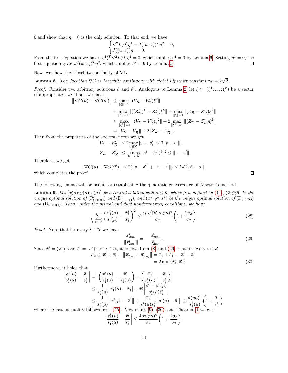0 and show that  $\eta = 0$  is the only solution. To that end, we have

$$
\begin{cases} \nabla^2 L(\bar{\vartheta}) \eta^1 - J((\bar{w}; \bar{z}))^T \eta^2 = 0, \\ J((\bar{w}; \bar{z})) \eta^1 = 0. \end{cases}
$$

From the first equation we have  $(\eta^1)^T \nabla^2 L(\bar{\vartheta}) \eta^1 = 0$ , which implies  $\eta^1 = 0$  by Lemma [6.](#page-12-0) Setting  $\eta^1 = 0$ , the first equation gives  $J((\bar{w}; \bar{z}))^T \eta^2$ , which implies  $\eta^2 = 0$  by Lemma [5.](#page-11-0)

Now, we show the Lipschitz continuity of  $\nabla G$ .

<span id="page-13-2"></span>**Lemma 8.** The Jacobian  $\nabla G$  is Lipschitz continuous with global Lipschitz constant  $\tau_2 := 2\sqrt{2}$ .

*Proof.* Consider two arbitrary solutions  $\vartheta$  and  $\vartheta'$ . Analogous to Lemma [2,](#page-8-1) let  $\xi := (\xi^1; \dots; \xi^8)$  be a vector of appropriate size. Then we have

$$
\|\nabla G(\vartheta) - \nabla G(\vartheta')\| \le \max_{\|\xi\|=1} \|(V_{\mathcal{R}} - V_{\mathcal{R}}')\xi^2\| \n+ \max_{\|\xi\|=1} \|((Z_{\mathcal{R}}')^T - Z_{\mathcal{R}}^T)\xi^8\| + \max_{\|\xi\|=1} \|((Z_{\mathcal{R}} - Z_{\mathcal{R}}')\xi^2\| \n\le \max_{\|\xi^2\|=1} \|((V_{\mathcal{R}} - V_{\mathcal{R}}')\xi^2\| + 2 \max_{\|\xi^2\|=1} \|((Z_{\mathcal{R}} - Z_{\mathcal{R}}')\xi^2\| \n= \|V_{\mathcal{R}} - V_{\mathcal{R}}'\| + 2\|Z_{\mathcal{R}} - Z_{\mathcal{R}}'\|.
$$

Then from the properties of the spectral norm we get

$$
||V_{\mathcal{R}} - V_{\mathcal{R}}'|| \leq 2 \max_{i \in \mathcal{R}} |v_i - v_i'| \leq 2||v - v'||,
$$
  

$$
||Z_{\mathcal{R}} - Z_{\mathcal{R}}'|| \leq \sqrt{\max_{i \in \mathcal{R}} ||z^i - (z')^i||^2} \leq ||z - z'||.
$$

Therefore, we get

$$
\left\|\nabla G(\vartheta) - \nabla G(\vartheta')\right\| \le 2(\|\nu - \nu'\| + \|z - z'\|) \le 2\sqrt{2}\|\vartheta - \vartheta'\|,
$$

which completes the proof.

The following lemma will be useful for establishing the quadratic convergence of Newton's method.

**Lemma 9.** Let  $(x(\mu); y(\mu); s(\mu))$  be a central solution with  $\mu \leq \hat{\mu}$ , where  $\hat{\mu}$  is defined by [\(44\)](#page-23-1),  $(\bar{x}; \bar{y}; \bar{s})$  be the unique optimal solution of  $(P'_{\text{SOC}})$  and  $(D'_{\text{SOC}})$ , and  $(x^*; y^*; s^*)$  be the unique optimal solution of  $(P_{\text{SOC}})$ and  $(D_{SOCO})$ . Then, under the primal and dual nondegeneracy conditions, we have

<span id="page-13-3"></span>
$$
\sqrt{\sum_{i \in \mathcal{R}} \left(\frac{x_1^i(\mu)}{s_1^i(\mu)} - \frac{\bar{x}_1^i}{\bar{s}_1^i}\right)^2} \le \frac{4p\sqrt{|\mathcal{R}|}\kappa(p\mu)^\gamma}{\sigma_2} \left(1 + \frac{2\sigma_3}{\sigma_2}\right). \tag{28}
$$

*Proof.* Note that for every  $i \in \mathcal{R}$  we have

$$
\frac{\bar{x}_{2:n_i}^i}{\|\bar{x}_{2:n_i}^i\|} = -\frac{\bar{s}_{2:n_i}^i}{\|\bar{s}_{2:n_i}^i\|}.\tag{29}
$$

Since 
$$
\bar{x}^i = (x^*)^i
$$
 and  $\bar{s}^i = (s^*)^i$  for  $i \in \mathcal{R}$ , it follows from (8) and (29) that for every  $i \in \mathcal{R}$   
\n
$$
\sigma_2 \le \bar{x}_1^i + \bar{s}_1^i - ||\bar{x}_{2:n_i}^i + \bar{s}_{2:n_i}^i|| = \bar{x}_1^i + \bar{s}_1^i - |\bar{x}_1^i - \bar{s}_1^i|
$$
\n
$$
= 2 \min{\{\bar{x}_1^i, \bar{s}_1^i\}}.
$$
\n(30)

Furthermore, it holds that

$$
\begin{split} \left| \frac{x_1^i(\mu)}{s_1^i(\mu)} - \frac{\bar{x}_1^i}{\bar{s}_1^i} \right| &= \left| \left( \frac{x_1^i(\mu)}{s_1^i(\mu)} - \frac{\bar{x}_1^i}{s_1^i(\mu)} \right) + \left( \frac{\bar{x}_1^i}{s_1^i(\mu)} - \frac{\bar{x}_1^i}{\bar{s}_1^i} \right) \right| \\ &\le \frac{1}{s_1^i(\mu)} |x_1^i(\mu) - \bar{x}_1^i| + \bar{x}_1^i \left| \frac{\bar{s}_1^i - s_1^i(\mu)}{s_1^i(\mu)\bar{s}_1^i} \right| \\ &\le \frac{1}{s_1^i(\mu)} \|x^i(\mu) - \bar{x}^i\| + \frac{\bar{x}_1^i}{s_1^i(\mu)\bar{s}_1^i} \|s^i(\mu) - \bar{s}^i\| \le \frac{\kappa(p\mu)^{\gamma}}{s_1^i(\mu)} \left( 1 + \frac{\bar{x}_1^i}{\bar{s}_1^i} \right), \end{split}
$$

where the last inequality follows from [\(45\)](#page-23-2). Now using [\(9\)](#page-4-4), [\(30\)](#page-13-1), and Theorem [1](#page-4-1) we get

$$
\left|\frac{x_1^i(\mu)}{s_1^i(\mu)} - \frac{\bar{x}_1^i}{\bar{s}_1^i}\right| \le \frac{4p\kappa(p\mu)^\gamma}{\sigma_2} \bigg(1 + \frac{2\sigma_3}{\sigma_2}\bigg),
$$

<span id="page-13-1"></span><span id="page-13-0"></span> $\Box$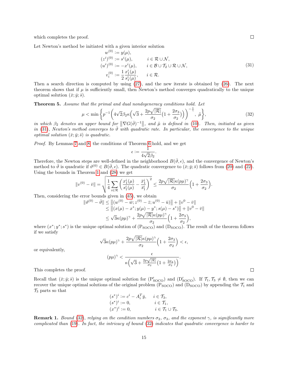which completes the proof.

Let Newton's method be initiated with a given interior solution

<span id="page-14-0"></span>
$$
w^{(0)} := y(\mu),
$$
  
\n
$$
(z^{i})^{(0)} := s^{i}(\mu), \qquad i \in \mathcal{R} \cup \mathcal{N},
$$
  
\n
$$
(u^{i})^{(0)} := -x^{i}(\mu), \qquad i \in \mathcal{B} \cup \mathcal{T}_{2} \cup \mathcal{R} \cup \mathcal{N},
$$
  
\n
$$
v_{i}^{(0)} := \frac{1}{2} \frac{x_{1}^{i}(\mu)}{s_{1}^{i}(\mu)}, \qquad i \in \mathcal{R}.
$$
\n(31)

Then a search direction is computed by using [\(27\)](#page-12-3), and the new iterate is obtained by [\(26\)](#page-12-4). The next theorem shows that if  $\mu$  is sufficiently small, then Newton's method converges quadratically to the unique optimal solution  $(\bar{x}; \bar{y}; \bar{s})$ .

Theorem 5. Assume that the primal and dual nondegeneracy conditions hold. Let

$$
\mu < \min\left\{ p^{-1} \left( 4\sqrt{2}\beta_2 \kappa \left( \sqrt{3} + \frac{2p\sqrt{|\mathcal{R}|}}{\sigma_2} \left( 1 + \frac{2\sigma_3}{\sigma_2} \right) \right) \right)^{-\frac{1}{\gamma}}, \tilde{\mu} \right\},\tag{32}
$$

in which  $\beta_2$  denotes an upper bound for  $\|\nabla G(\bar{\vartheta})^{-1}\|$ , and  $\tilde{\mu}$  is defined in [\(10\)](#page-5-0). Then, initiated as given in [\(31\)](#page-14-0), Newton's method converges to  $\vartheta$  with quadratic rate. In particular, the convergence to the unique optimal solution  $(\bar{x}; \bar{y}; \bar{s})$  is quadratic.

Proof. By Lemmas [7](#page-12-5) and [8,](#page-13-2) the conditions of Theorem [6](#page-21-0) hold, and we get

<span id="page-14-1"></span>
$$
\epsilon:=\frac{1}{4\sqrt{2}\beta_2}.
$$

Therefore, the Newton steps are well-defined in the neighborhood  $B(\bar{\vartheta}, \epsilon)$ , and the convergence of Newton's method to  $\bar{\vartheta}$  is quadratic if  $\vartheta^{(0)} \in B(\bar{\vartheta}, \epsilon)$ . The quadratic convergence to  $(\bar{x}; \bar{y}; \bar{s})$  follows from [\(20\)](#page-10-3) and [\(22\)](#page-10-2). Using the bounds in Theorem [1](#page-4-1) and [\(28\)](#page-13-3) we get

$$
\|v^{(0)}-\bar{v}\|=\sqrt{\frac{1}{4}\sum_{i\in\mathcal{R}}\left(\frac{x_1^i(\mu)}{s_1^i(\mu)}-\frac{\bar{x}_1^i}{\bar{s}_1^i}\right)^2}\leq \frac{2p\sqrt{|\mathcal{R}|}\kappa(p\mu)^{\gamma}}{\sigma_2}\Big(1+\frac{2\sigma_3}{\sigma_2}\Big).
$$

Then, considering the error bounds given in [\(45\)](#page-23-2), we obtain

$$
\|\vartheta^{(0)} - \bar{\vartheta}\| \le \left\| (w^{(0)} - \bar{w}; z^{(0)} - \bar{z}; u^{(0)} - \bar{u}) \right\| + \|v^0 - \bar{v}\|
$$
  
\n
$$
\le \left\| (x(\mu) - x^*; y(\mu) - y^*; s(\mu) - s^*) \right\| + \|v^0 - \bar{v}\|
$$
  
\n
$$
\le \sqrt{3}\kappa(p\mu)^{\gamma} + \frac{2p\sqrt{|\mathcal{R}|}\kappa(p\mu)^{\gamma}}{\sigma_2} \left(1 + \frac{2\sigma_3}{\sigma_2}\right),
$$

where  $(x^*; y^*; s^*)$  is the unique optimal solution of  $(P_{SOCO})$  and  $(D_{SOCO})$ . The result of the theorem follows if we satisfy

$$
\sqrt{3}\kappa(p\mu)^{\gamma}+\frac{2p\sqrt{|\mathcal{R}|}\kappa(p\mu)^{\gamma}}{\sigma_2}\Big(1+\frac{2\sigma_3}{\sigma_2}\Big)<\epsilon,
$$

or equivalently,

$$
(p\mu)^{\gamma} < \frac{\epsilon}{\kappa \left( \sqrt{3} + \frac{2p\sqrt{|\mathcal{R}|}}{\sigma_2} \left( 1 + \frac{2\sigma_3}{\sigma_2} \right) \right)}.
$$

This completes the proof.

Recall that  $(\bar{x}; \bar{y}; \bar{s})$  is the unique optimal solution for  $(P'_{\text{SOCO}})$  and  $(D'_{\text{SOCO}})$ . If  $\mathcal{T}_1, \mathcal{T}_3 \neq \emptyset$ , then we can recover the unique optimal solutions of the original problem  $(P_{SOCO})$  and  $(D_{SOCO})$  by appending the  $\mathcal{T}_1$  and  $\mathcal{T}_3$  parts so that  $\cdots$  $\sigma$ 

$$
(s^*)^i := c^i - A_i^T \bar{y}, \quad i \in \mathcal{T}_3,
$$
  
\n
$$
(s^*)^i := 0, \quad i \in \mathcal{T}_1,
$$
  
\n
$$
(x^*)^i := 0, \quad i \in \mathcal{T}_1 \cup \mathcal{T}_3.
$$

**Remark 1.** Bound [\(32\)](#page-14-1), relying on the condition numbers  $\sigma_2$ ,  $\sigma_3$ , and the exponent  $\gamma$ , is significantly more complicated than [\(19\)](#page-8-2). In fact, the intricacy of bound [\(32\)](#page-14-1) indicates that quadratic convergence is harder to

 $\Box$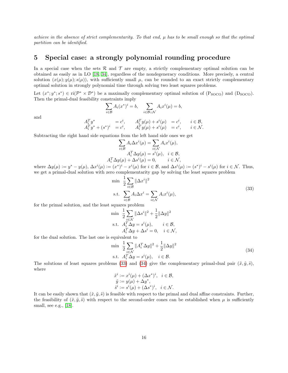achieve in the absence of strict complementarity. To that end, µ has to be small enough so that the optimal partition can be identified.

# <span id="page-15-0"></span>5 Special case: a strongly polynomial rounding procedure

In a special case when the sets  $\mathcal R$  and  $\mathcal T$  are empty, a strictly complementary optimal solution can be obtained as easily as in LO [\[18,](#page-17-5) [34\]](#page-18-6), regardless of the nondegeneracy conditions. More precisely, a central solution  $(x(\mu); y(\mu); s(\mu))$ , with sufficiently small  $\mu$ , can be rounded to an exact strictly complementary optimal solution in strongly polynomial time through solving two least squares problems.

Let  $(x^*; y^*; s^*) \in ri(\mathcal{P}^* \times \mathcal{D}^*)$  be a maximally complementary optimal solution of  $(P_{SOCO})$  and  $(D_{SOCO})$ . Then the primal-dual feasibility constraints imply

$$
\sum_{i \in \mathcal{B}} A_i(x^*)^i = b, \quad \sum_{i \in \mathcal{B} \cup \mathcal{N}} A_i x^i(\mu) = b,
$$

and

$$
A_i^T y^* = c^i, \t A_i^T y(\mu) + s^i(\mu) = c^i, \t i \in \mathcal{B}, A_i^T y^* + (s^*)^i = c^i, \t A_i^T y(\mu) + s^i(\mu) = c^i, \t i \in \mathcal{N}.
$$

Subtracting the right hand side equations from the left hand side ones we get

$$
\sum_{i \in \mathcal{B}} A_i \Delta x^i(\mu) = \sum_{i \in \mathcal{N}} A_i x^i(\mu),
$$

$$
A_i^T \Delta y(\mu) = s^i(\mu), \quad i \in \mathcal{B},
$$

$$
A_i^T \Delta y(\mu) + \Delta s^i(\mu) = 0, \qquad i \in \mathcal{N},
$$

where  $\Delta y(\mu) := y^* - y(\mu)$ ,  $\Delta x^i(\mu) := (x^*)^i - x^i(\mu)$  for  $i \in \mathcal{B}$ , and  $\Delta s^i(\mu) := (s^*)^i - s^i(\mu)$  for  $i \in \mathcal{N}$ . Thus, we get a primal-dual solution with zero complementarity gap by solving the least squares problem

<span id="page-15-1"></span>
$$
\min \frac{1}{2} \sum_{i \in \mathcal{B}} ||\Delta x^i||^2
$$
  
s.t. 
$$
\sum_{i \in \mathcal{B}} A_i \Delta x^i = \sum_{i \in \mathcal{N}} A_i x^i(\mu),
$$
 (33)

for the primal solution, and the least squares problem

$$
\begin{aligned}\n\min & \quad \frac{1}{2} \sum_{i \in \mathcal{N}} \|\Delta s^i\|^2 + \frac{1}{2} \|\Delta y\|^2 \\
\text{s.t.} & \quad A_i^T \Delta y = s^i(\mu), \qquad i \in \mathcal{B}, \\
& A_i^T \Delta y + \Delta s^i = 0, \quad i \in \mathcal{N},\n\end{aligned}
$$

for the dual solution. The last one is equivalent to

<span id="page-15-2"></span>
$$
\min \frac{1}{2} \sum_{i \in \mathcal{N}} ||A_i^T \Delta y||^2 + \frac{1}{2} ||\Delta y||^2
$$
  
s.t.  $A_i^T \Delta y = s^i(\mu), \quad i \in \mathcal{B}.$  (34)

The solutions of least squares problems [\(33\)](#page-15-1) and [\(34\)](#page-15-2) give the complementary primal-dual pair  $(\tilde{x}, \tilde{y}, \tilde{s})$ , where

$$
\begin{array}{ll} \tilde{x}^i:=x^i(\mu)+(\Delta x^*)^i, & i\in\mathcal{B},\\ \tilde{y}:=y(\mu)+\Delta y^*, & \\ \tilde{s}^i:=s^i(\mu)+(\Delta s^*)^i, & i\in\mathcal{N}. \end{array}
$$

It can be easily shown that  $(\tilde{x}, \tilde{y}, \tilde{s})$  is feasible with respect to the primal and dual affine constraints. Further, the feasibility of  $(\tilde{x}, \tilde{y}, \tilde{s})$  with respect to the second-order cones can be established when  $\mu$  is sufficiently small, see e.g., [\[18\]](#page-17-5).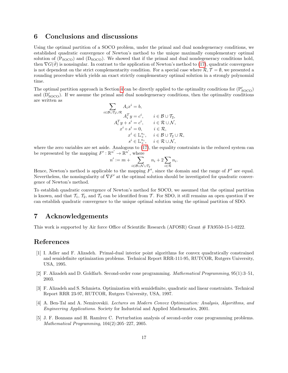## <span id="page-16-4"></span>6 Conclusions and discussions

Using the optimal partition of a SOCO problem, under the primal and dual nondegeneracy conditions, we established quadratic convergence of Newton's method to the unique maximally complementary optimal solution of  $(P_{\text{SOCO}})$  and  $(D_{\text{SOCO}})$ . We showed that if the primal and dual nondegeneracy conditions hold, then  $\nabla G(\vartheta)$  is nonsingular. In contrast to the application of Newton's method to [\(17\)](#page-7-4), quadratic convergence is not dependent on the strict complementarity condition. For a special case where  $\mathcal{R}, \mathcal{T} = \emptyset$ , we presented a rounding procedure which yields an exact strictly complementary optimal solution in a strongly polynomial time.

The optimal partition approach in Section [4](#page-9-0) can be directly applied to the optimality conditions for  $(P'_{SOCO})$ and  $(D'_{\text{SOCO}})$ . If we assume the primal and dual nondegeneracy conditions, then the optimality conditions are written as

$$
\sum_{i \in \mathcal{B} \cup \mathcal{T}_2 \cup \mathcal{R}} A_i x^i = b,
$$
\n
$$
A_i^T y = c^i, \qquad i \in \mathcal{B} \cup \mathcal{T}_2,
$$
\n
$$
A_i^T y + s^i = c^i, \qquad i \in \mathcal{R} \cup \mathcal{N},
$$
\n
$$
x^i \circ s^i = 0, \qquad i \in \mathcal{R},
$$
\n
$$
x^i \in \mathbb{L}^{n_i}_{+}, \quad i \in \mathcal{B} \cup \mathcal{T}_2 \cup \mathcal{R},
$$
\n
$$
s^i \in \mathbb{L}^{n_i}_{+}, \quad i \in \mathcal{R} \cup \mathcal{N},
$$

where the zero variables are set aside. Analogous to [\(17\)](#page-7-4), the equality constraints in the reduced system can be represented by the mapping  $F': \mathbb{R}^{n'} \to \mathbb{R}^{n'}$ , where

$$
n' := m + \sum_{i \in \mathcal{B} \cup \mathcal{N} \cup \mathcal{T}_2} n_i + 2 \sum_{i \in \mathcal{R}} n_i.
$$

Hence, Newton's method is applicable to the mapping  $F'$ , since the domain and the range of  $F'$  are equal. Nevertheless, the nonsingularity of  $\nabla F'$  at the optimal solution should be investigated for quadratic convergence of Newton's method.

To establish quadratic convergence of Newton's method for SOCO, we assumed that the optimal partition is known, and that  $\mathcal{T}_1$ ,  $\mathcal{T}_2$ , and  $\mathcal{T}_3$  can be identified from T. For SDO, it still remains an open question if we can establish quadratic convergence to the unique optimal solution using the optimal partition of SDO.

# 7 Acknowledgements

This work is supported by Air force Office of Scientific Research (AFOSR) Grant # FA9550-15-1-0222.

# References

- <span id="page-16-1"></span>[1] I. Adler and F. Alizadeh. Primal-dual interior point algorithms for convex quadratically constrained and semidefinite optimization problems. Technical Report RRR-111-95, RUTCOR, Rutgers University, USA, 1995.
- <span id="page-16-0"></span>[2] F. Alizadeh and D. Goldfarb. Second-order cone programming. Mathematical Programming, 95(1):3–51, 2003.
- <span id="page-16-2"></span>[3] F. Alizadeh and S. Schmieta. Optimization with semidefinite, quadratic and linear constraints. Technical Report RRR 23-97, RUTCOR, Rutgers University, USA, 1997.
- <span id="page-16-5"></span>[4] A. Ben-Tal and A. Nemirovskii. Lectures on Modern Convex Optimization: Analysis, Algorithms, and Engineering Applications. Society for Industrial and Applied Mathematics, 2001.
- <span id="page-16-3"></span>[5] J. F. Bonnans and H. Ramírez C. Perturbation analysis of second-order cone programming problems. Mathematical Programming, 104(2):205–227, 2005.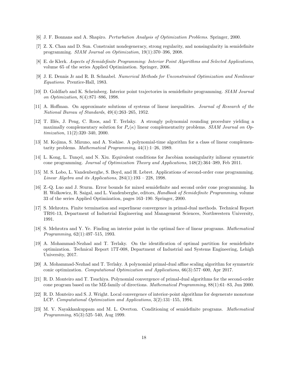- <span id="page-17-13"></span>[6] J. F. Bonnans and A. Shapiro. Perturbation Analysis of Optimization Problems. Springer, 2000.
- <span id="page-17-10"></span>[7] Z. X. Chan and D. Sun. Constraint nondegeneracy, strong regularity, and nonsingularity in semidefinite programming. SIAM Journal on Optimization, 19(1):370–396, 2008.
- <span id="page-17-17"></span>[8] E. de Klerk. Aspects of Semidefinite Programming: Interior Point Algorithms and Selected Applications, volume 65 of the series Applied Optimization. Springer, 2006.
- <span id="page-17-14"></span>[9] J. E. Dennis Jr and R. B. Schnabel. Numerical Methods for Unconstrained Optimization and Nonlinear Equations. Prentice-Hall, 1983.
- <span id="page-17-8"></span>[10] D. Goldfarb and K. Scheinberg. Interior point trajectories in semidefinite programming. SIAM Journal on Optimization, 8(4):871–886, 1998.
- <span id="page-17-16"></span>[11] A. Hoffman. On approximate solutions of systems of linear inequalities. Journal of Research of the National Bureau of Standards, 49(4):263–265, 1952.
- <span id="page-17-3"></span>[12] T. Illés, J. Peng, C. Roos, and T. Terlaky. A strongly polynomial rounding procedure yielding a maximally complementary solution for  $P_*(\kappa)$  linear complementarity problems. SIAM Journal on Optimization, 11(2):320–340, 2000.
- <span id="page-17-6"></span>[13] M. Kojima, S. Mizuno, and A. Yoshise. A polynomial-time algorithm for a class of linear complementarity problems. Mathematical Programming, 44(1):1–26, 1989.
- <span id="page-17-11"></span>[14] L. Kong, L. Tunçel, and N. Xiu. Equivalent conditions for Jacobian nonsingularity inlinear symmetric cone programming. Journal of Optimization Theory and Applications, 148(2):364–389, Feb 2011.
- <span id="page-17-0"></span>[15] M. S. Lobo, L. Vandenberghe, S. Boyd, and H. Lebret. Applications of second-order cone programming. Linear Algebra and its Applications, 284(1):193 – 228, 1998.
- <span id="page-17-15"></span>[16] Z.-Q. Luo and J. Sturm. Error bounds for mixed semidefinite and second order cone programming. In H. Wolkowicz, R. Saigal, and L. Vandenberghe, editors, Handbook of Semidefinite Programming, volume 33 of the series Applied Optimization, pages 163–190. Springer, 2000.
- <span id="page-17-4"></span>[17] S. Mehrotra. Finite termination and superlinear convergence in primal-dual methods. Technical Report TR91-13, Department of Industrial Engineering and Management Sciences, Northwestern University, 1991.
- <span id="page-17-5"></span>[18] S. Mehrotra and Y. Ye. Finding an interior point in the optimal face of linear programs. Mathematical Programming, 62(1):497–515, 1993.
- <span id="page-17-9"></span>[19] A. Mohammad-Nezhad and T. Terlaky. On the identification of optimal partition for semidefinite optimization. Technical Report 17T-008, Department of Industrial and Systems Engineering, Lehigh University, 2017.
- <span id="page-17-1"></span>[20] A. Mohammad-Nezhad and T. Terlaky. A polynomial primal-dual affine scaling algorithm for symmetric conic optimization. Computational Optimization and Applications, 66(3):577–600, Apr 2017.
- <span id="page-17-2"></span>[21] R. D. Monteiro and T. Tsuchiya. Polynomial convergence of primal-dual algorithms for the second-order cone program based on the MZ-family of directions. Mathematical Programming, 88(1):61–83, Jun 2000.
- <span id="page-17-7"></span>[22] R. D. Monteiro and S. J. Wright. Local convergence of interior-point algorithms for degenerate monotone LCP. Computational Optimization and Applications, 3(2):131–155, 1994.
- <span id="page-17-12"></span>[23] M. V. Nayakkankuppam and M. L. Overton. Conditioning of semidefinite programs. Mathematical Programming, 85(3):525–540, Aug 1999.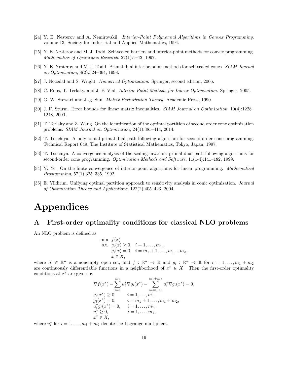- <span id="page-18-0"></span>[24] Y. E. Nesterov and A. Nemirovskii. Interior-Point Polynomial Algorithms in Convex Programming, volume 13. Society for Industrial and Applied Mathematics, 1994.
- <span id="page-18-1"></span>[25] Y. E. Nesterov and M. J. Todd. Self-scaled barriers and interior-point methods for convex programming. Mathematics of Operations Research, 22(1):1–42, 1997.
- <span id="page-18-2"></span>[26] Y. E. Nesterov and M. J. Todd. Primal-dual interior-point methods for self-scaled cones. SIAM Journal on Optimization, 8(2):324–364, 1998.
- <span id="page-18-10"></span>[27] J. Nocedal and S. Wright. Numerical Optimization. Springer, second edition, 2006.
- <span id="page-18-5"></span>[28] C. Roos, T. Terlaky, and J.-P. Vial. Interior Point Methods for Linear Optimization. Springer, 2005.
- <span id="page-18-12"></span>[29] G. W. Stewart and J.-g. Sun. Matrix Perturbation Theory. Academic Press, 1990.
- <span id="page-18-11"></span>[30] J. F. Sturm. Error bounds for linear matrix inequalities. SIAM Journal on Optimization, 10(4):1228– 1248, 2000.
- <span id="page-18-8"></span>[31] T. Terlaky and Z. Wang. On the identification of the optimal partition of second order cone optimization problems. SIAM Journal on Optimization, 24(1):385–414, 2014.
- <span id="page-18-3"></span>[32] T. Tsuchiya. A polynomial primal-dual path-following algorithm for second-order cone programming. Technical Report 649, The Institute of Statistical Mathematics, Tokyo, Japan, 1997.
- <span id="page-18-4"></span>[33] T. Tsuchiya. A convergence analysis of the scaling-invariant primal-dual path-following algorithms for second-order cone programming. Optimization Methods and Software, 11(1-4):141–182, 1999.
- <span id="page-18-6"></span>[34] Y. Ye. On the finite convergence of interior-point algorithms for linear programming. Mathematical Programming, 57(1):325–335, 1992.
- <span id="page-18-7"></span>[35] E. Yildirim. Unifying optimal partition approach to sensitivity analysis in conic optimization. Journal of Optimization Theory and Applications, 122(2):405–423, 2004.

# Appendices

### <span id="page-18-9"></span>A First-order optimality conditions for classical NLO problems

An NLO problem is defined as

min 
$$
f(x)
$$
  
s.t.  $g_i(x) \ge 0$ ,  $i = 1,..., m_1$ ,  
 $g_i(x) = 0$ ,  $i = m_1 + 1,..., m_1 + m_2$ ,  
 $x \in X$ ,

where  $X \in \mathbb{R}^n$  is a nonempty open set, and  $f: \mathbb{R}^n \to \mathbb{R}$  and  $g_i: \mathbb{R}^n \to \mathbb{R}$  for  $i = 1, ..., m_1 + m_2$ are continuously differentiable functions in a neighborhood of  $x^* \in X$ . Then the first-order optimality conditions at  $x^*$  are given by

$$
\nabla f(x^*) - \sum_{i=1}^{m_1} u_i^* \nabla g_i(x^*) - \sum_{i=m_1+1}^{m_1+m_2} u_i^* \nabla g_i(x^*) = 0,
$$
  
\n
$$
g_i(x^*) \ge 0, \qquad i = 1, ..., m_1,
$$
  
\n
$$
g_i(x^*) = 0, \qquad i = m_1 + 1, ..., m_1 + m_2,
$$
  
\n
$$
u_i^* g_i(x^*) = 0, \qquad i = 1, ..., m_1,
$$
  
\n
$$
u_i^* \ge 0, \qquad i = 1, ..., m_1,
$$
  
\n
$$
x^* \in X,
$$

where  $u_i^*$  for  $i = 1, ..., m_1 + m_2$  denote the Lagrange multipliers.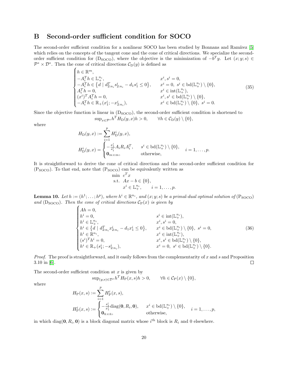## <span id="page-19-0"></span>B Second-order sufficient condition for SOCO

The second-order sufficient condition for a nonlinear SOCO has been studied by Bonnans and Ramírez [\[5\]](#page-16-3) which relies on the concepts of the tangent cone and the cone of critical directions. We specialize the secondorder sufficient condition for  $(D_{\text{SOCO}})$ , where the objective is the minimization of  $-b^T y$ . Let  $(x; y; s) \in$  $\mathcal{P}^* \times \mathcal{D}^*$ . Then the cone of critical directions  $\mathcal{C}_{D}(y)$  is defined as

<span id="page-19-1"></span>
$$
\begin{cases}\nh \in \mathbb{R}^m, & x^i, s^i = 0, \\
-A_i^T h \in \mathbb{L}_+^{n_i}, & x^i, s^i = 0, \\
-A_i^T h \in \{d \mid d_{2:n_i}^T s_{2:n_i}^i - d_1 s_1^i \le 0\}, & x^i = 0, s^i \in \text{bd}(\mathbb{L}_+^{n_i}) \setminus \{0\}, \\
A_i^T h = 0, & x^i \in \text{int}(\mathbb{L}_+^{n_i}), \\
(x^i)^T A_i^T h = 0, & x^i, s^i \in \text{bd}(\mathbb{L}_+^{n_i}) \setminus \{0\}, \\
-A_i^T h \in \mathbb{R}_+(x_1^i; -x_{2:n_i}^i), & x^i \in \text{bd}(\mathbb{L}_+^{n_i}) \setminus \{0\}, s^i = 0.\n\end{cases}
$$
\n(35)

Since the objective function is linear in  $(D<sub>SOCO</sub>)$ , the second-order sufficient condition is shortened to  $\sup_{x \in \mathcal{P}^*} h^T H_D(y, x) h > 0, \qquad \forall h \in \mathcal{C}_D(y) \setminus \{0\},$ 

where

$$
H_D(y, x) := \sum_{i=1}^p H_D^i(y, x),
$$
  
\n
$$
H_D^i(y, x) = \begin{cases} -\frac{x_i^i}{s_1^i} A_i R_i A_i^T, & s^i \in \text{bd}(\mathbb{L}_+^{n_i}) \setminus \{0\}, \\ \mathbf{0}_{m \times m}, & \text{otherwise}, \end{cases} \quad i = 1, \dots, p.
$$

It is straightforward to derive the cone of critical directions and the second-order sufficient condition for  $(P<sub>SOCO</sub>)$ . To that end, note that  $(P<sub>SOCO</sub>)$  can be equivalently written as

<span id="page-19-2"></span>min 
$$
c^T x
$$
  
s.t.  $Ax - b \in \{0\}$ ,  
 $x^i \in \mathbb{L}_+^{n_i}$ ,  $i = 1,..., p$ .

**Lemma 10.** Let  $h := (h^1; \ldots; h^p)$ , where  $h^i \in \mathbb{R}^{n_i}$ , and  $(x; y; s)$  be a primal-dual optimal solution of  $(\text{P}_{\text{SOC}})$ and  $(D<sub>SOCO</sub>)$ . Then the cone of critical directions  $C<sub>P</sub>(x)$  is given by

$$
\begin{cases}\nAh = 0, & s^{i} \in \text{int}(\mathbb{L}_{+}^{n_{i}}), \\
h^{i} \in \mathbb{L}_{+}^{n_{i}}, & x^{i}, s^{i} = 0, \\
h^{i} \in \{d \mid d_{2:n_{i}}^{T} x_{2:n_{i}}^{i} - d_{1} x_{1}^{i} \le 0\}, & x^{i} \in \text{bd}(\mathbb{L}_{+}^{n_{i}}) \setminus \{0\}, s^{i} = 0, \\
h^{i} \in \mathbb{R}^{n_{i}}, & x^{i} \in \text{int}(\mathbb{L}_{+}^{n_{i}}), \\
(s^{i})^{T} h^{i} = 0, & x^{i}, s^{i} \in \text{bd}(\mathbb{L}_{+}^{n_{i}}) \setminus \{0\}, \\
h^{i} \in \mathbb{R}_{+}(s_{1}^{i}; -s_{2:n_{i}}^{i}), & x^{i} = 0, s^{i} \in \text{bd}(\mathbb{L}_{+}^{n_{i}}) \setminus \{0\}.\n\end{cases}
$$
\n(36)

*Proof.* The proof is straightforward, and it easily follows from the complementarity of  $x$  and  $s$  and Proposition  $\Box$ 3.10 in [\[6\]](#page-17-13).

The second-order sufficient condition at  $x$  is given by

 $\sup_{(y;s)\in\mathcal{D}^*} h^T H_P(x,s)h > 0, \quad \forall h \in \mathcal{C}_P(x) \setminus \{0\},$ 

where

$$
H_P(x,s) := \sum_{i=1}^p H_P^i(x,s),
$$
  
\n
$$
H_P^i(x,s) := \begin{cases} -\frac{s_1^i}{x_1^i} \text{diag}(\mathbf{0}, R_i, \mathbf{0}), & x^i \in \text{bd}(\mathbb{L}^{n_i}_+) \setminus \{0\}, \\ \mathbf{0}_{\bar{n} \times \bar{n}}, & \text{otherwise}, \end{cases}
$$

in which diag( $0, R_i, 0$ ) is a block diagonal matrix whose  $i^{\text{th}}$  block is  $R_i$  and 0 elsewhere.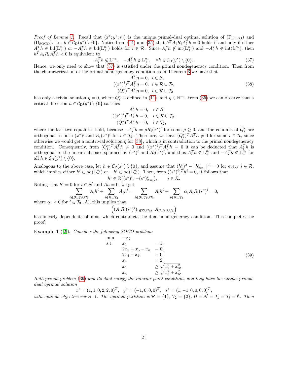*Proof of Lemma [1.](#page-7-3)* Recall that  $(x^*; y^*; s^*)$  is the unique primal-dual optimal solution of  $(P_{SOCO})$  and (D<sub>SOCO</sub>). Let  $h \in C_D(y^*) \setminus \{0\}$ . Notice from [\(14\)](#page-7-5) and [\(35\)](#page-19-1) that  $h^T A_i R_i A_i^T h = 0$  holds if and only if either  $A_i^T h \in \text{bd}(\mathbb{L}_+^{n_i})$  or  $-A_i^T h \in \text{bd}(\mathbb{L}_+^{n_i})$  holds for  $i \in \mathcal{R}$ . Since  $A_i^T h \notin \text{int}(\mathbb{L}_+^{n_i})$  and  $-A_i^T h \notin \text{int}(\mathbb{L}_+^{n_i})$ , then  $h^T A_i R_i A_i^T h < 0$  is equivalent to

$$
A_i^T h \notin \mathbb{L}_+^{n_i}, \quad -A_i^T h \notin \mathbb{L}_+^{n_i}, \quad \forall h \in \mathcal{C}_D(y^*) \setminus \{0\}.
$$
 (37)

Hence, we only need to show that [\(37\)](#page-20-2) is satisfied under the primal nondegeneracy condition. Then from the characterization of the primal nondegeneracy condition as in Theorem [3](#page-6-4) we have that

<span id="page-20-2"></span><span id="page-20-0"></span>
$$
A_i^T \eta = 0, \quad i \in \mathcal{B},
$$
  

$$
((x^*)^i)^T A_i^T \eta = 0, \quad i \in \mathcal{R} \cup \mathcal{T}_2,
$$
  

$$
(\hat{Q}_i^*)^T A_i^T \eta = 0, \quad i \in \mathcal{R} \cup \mathcal{T}_2,
$$
  

$$
(38)
$$

has only a trivial solution  $\eta = 0$ , where  $\hat{Q}_i^*$  is defined in [\(11\)](#page-6-2), and  $\eta \in \mathbb{R}^m$ . From [\(35\)](#page-19-1) we can observe that a critical direction  $h \in C_D(y^*) \setminus \{0\}$  satisfies

$$
A_i^T h = 0, \quad i \in \mathcal{B},
$$
  

$$
((x^*)^i)^T A_i^T h = 0, \quad i \in \mathcal{R} \cup \mathcal{T}_2,
$$
  

$$
(\hat{Q}_i^*)^T A_i^T h = 0, \quad i \in \mathcal{T}_2,
$$

where the last two equalities hold, because  $-A_i^T h = \rho R_i(x^*)^i$  for some  $\rho \geq 0$ , and the columns of  $\hat{Q}_i^*$  are orthogonal to both  $(x^*)^i$  and  $R_i(x^*)^i$  for  $i \in \mathcal{T}_2$ . Therefore, we have  $(\hat{Q}_i^*)^T A_i^T h \neq 0$  for some  $i \in \mathcal{R}$ , since otherwise we would get a nontrivial solution  $\eta$  for [\(38\)](#page-20-0), which is in contradiction to the primal nondegeneracy condition. Consequently, from  $(\hat{Q}_i^*)^T A_i^T h \neq 0$  and  $((x^*)^i)^T A_i^T h = 0$  it can be deducted that  $A_i^T h$  is orthogonal to the linear subspace spanned by  $(x^*)^i$  and  $R_i(x^*)^i$ , and thus  $A_i^T h \notin \mathbb{L}_+^{n_i}$  and  $-A_i^T h \notin \mathbb{L}_+^{n_i}$  for all  $h \in C_D(y^*) \setminus \{0\}.$ 

Analogous to the above case, let  $h \in C_{\mathcal{P}}(x^*) \setminus \{0\}$ , and assume that  $(h_1^i)^2 - ||h_{2:n_i}^i||^2 = 0$  for every  $i \in \mathcal{R}$ , which implies either  $h^i \in \text{bd}(\mathbb{L}^{n_i}_+)$  or  $-h^i \in \text{bd}(\mathbb{L}^{n_i}_+)$ . Then, from  $((s^*)^i)^T h^i = 0$ , it follows that

 $h^{i} \in \mathbb{R}((s^{*})_{1}^{i}; -(s^{*})_{2:n_{i}}^{i}), \quad i \in \mathcal{R}.$ Noting that  $h^i = 0$  for  $\sum$  $i \in \mathcal{N}$  and  $Ah = 0$ , we get  $i$ ∈B∪ $\mathcal{T}_1$ ∪ $\mathcal{T}_2$  $A_i h^i + \sum$ i∈R∪T<sup>3</sup>  $A_i h^i = \sum$  $i$ ∈B∪ $\mathcal{T}_1$ ∪ $\mathcal{T}_2$  $A_i h^i + \sum$ i∈R∪T<sup>3</sup>  $\alpha_i A_i R_i(s^*)^i = 0,$ where  $\alpha_i \geq 0$  for  $i \in \mathcal{T}_3$ . All this implies that

$$
((A_i R_i(s^*)^i)_{i \in \mathcal{R} \cup \mathcal{T}_3}, A_{\mathcal{B} \cup \mathcal{T}_1 \cup \mathcal{T}_2})
$$

has linearly dependent columns, which contradicts the dual nondegeneracy condition. This completes the proof.

<span id="page-20-1"></span>Example 1 ([\[2\]](#page-16-0)). Consider the following SOCO problem:

<span id="page-20-3"></span>
$$
\begin{array}{ll}\n\min & -x_2 \\
\text{s.t.} & x_1 & = 1, \\
2x_2 + x_3 - x_5 & = 0, \\
2x_3 - x_6 & = 0, \\
x_4 & = 2, \\
x_1 & \ge \sqrt{x_2^2 + x_3^2}, \\
x_4 & \ge \sqrt{x_5^2 + x_6^2}.\n\end{array} \tag{39}
$$

Both primal problem [\(39\)](#page-20-3) and its dual satisfy the interior point condition, and they have the unique primaldual optimal solution

 $x^* = (1, 1, 0, 2, 2, 0)^T$ ,  $y^* = (-1, 0, 0, 0)^T$ ,  $s^* = (1, -1, 0, 0, 0, 0)^T$ ,

with optimal objective value -1. The optimal partition is  $\mathcal{R} = \{1\}$ ,  $\mathcal{T}_2 = \{2\}$ ,  $\mathcal{B} = \mathcal{N} = \mathcal{T}_1 = \mathcal{T}_3 = \emptyset$ . Then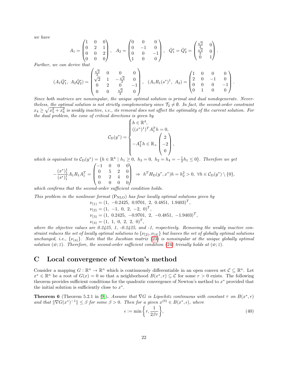we have

$$
A_1 = \begin{pmatrix} 1 & 0 & 0 \\ 0 & 2 & 1 \\ 0 & 0 & 2 \\ 0 & 0 & 0 \end{pmatrix}, \quad A_2 = \begin{pmatrix} 0 & 0 & 0 \\ 0 & -1 & 0 \\ 0 & 0 & -1 \\ 1 & 0 & 0 \end{pmatrix}, \quad \bar{Q}_1^* = \bar{Q}_2^* = \begin{pmatrix} \frac{\sqrt{2}}{2} & 0 \\ \frac{\sqrt{2}}{2} & 0 \\ 0 & 1 \end{pmatrix}.
$$

Further, we can derive that

$$
(A_1\overline{Q}_1^*, A_2\overline{Q}_2^*) = \begin{pmatrix} \frac{\sqrt{2}}{2} & 0 & 0 & 0 \\ \sqrt{2} & 1 & -\frac{\sqrt{2}}{2} & 0 \\ 0 & 2 & 0 & -1 \\ 0 & 0 & \frac{\sqrt{2}}{2} & 0 \end{pmatrix}, (A_1R_1(s^*)^1, A_2) = \begin{pmatrix} 1 & 0 & 0 & 0 \\ 2 & 0 & -1 & 0 \\ 0 & 0 & 0 & -1 \\ 0 & 1 & 0 & 0 \end{pmatrix}.
$$

Since both matrices are nonsingular, the unique optimal solution is primal and dual nondegenerate. Nevertheless, the optimal solution is not strictly complementary since  $\mathcal{T}_2 \neq \emptyset$ . In fact, the second-order constraint  $x_4\geq \sqrt{x_5^2+x_6^2}$  is weakly inactive, i.e., its removal does not affect the optimality of the current solution. For the dual problem, the cone of critical directions is given by

$$
\mathcal{C}_{D}(y^{*}) = \begin{cases} h \in \mathbb{R}^{4}, \\ ((x^{*})^{1})^{T} A_{1}^{T} h = 0, \\ -A_{2}^{T} h \in \mathbb{R}_{+} \begin{pmatrix} 2 \\ -2 \\ 0 \end{pmatrix}, \end{cases}
$$

which is equivalent to  $C_D(y^*) = \{h \in \mathbb{R}^4 \mid h_1 \geq 0, h_3 = 0, h_2 = h_4 = -\frac{1}{2}h_1 \leq 0\}$ . Therefore we get

$$
-\frac{(x^*)_1^1}{(s^*)_1^1}A_1R_1A_1^T = \begin{pmatrix} -1 & 0 & 0 & 0 \\ 0 & 5 & 2 & 0 \\ 0 & 2 & 4 & 0 \\ 0 & 0 & 0 & 0 \end{pmatrix} \Rightarrow h^T H_D(y^*, x^*)h = h_2^2 > 0, \ \forall h \in C_D(y^*) \setminus \{0\},
$$

which confirms that the second-order sufficient condition holds.

This problem in the nonlinear format  $(P_{NLO})$  has four locally optimal solutions given by

$$
\nu_{(1)} = (1, -0.2425, 0.9701, 2, 0.4851, 1.9403)^{T},
$$
  
\n
$$
\nu_{(2)} = (1, -1, 0, 2, -2, 0)^{T},
$$
  
\n
$$
\nu_{(3)} = (1, 0.2425, -0.9701, 2, -0.4851, -1.9403)^{T},
$$
  
\n
$$
\nu_{(4)} = (1, 1, 0, 2, 2, 0)^{T},
$$

where the objective values are  $0.2425$ , 1,  $-0.2425$ , and  $-1$ , respectively. Removing the weakly inactive constraint reduces the set of locally optimal solutions to  $\{v_{(2)}, v_{(4)}\}$  but leaves the set of globally optimal solutions unchanged, i.e.,  $\{\nu_{(4)}\}$ . Note that the Jacobian matrix [\(23\)](#page-11-1) is nonsingular at the unique globally optimal solution  $(\bar{w}; \bar{z})$ . Therefore, the second-order sufficient condition [\(24\)](#page-12-1) trivially holds at  $(\bar{w}; \bar{z})$ .

# <span id="page-21-1"></span>C Local convergence of Newton's method

Consider a mapping  $G: \mathbb{R}^n \to \mathbb{R}^n$  which is continuously differentiable in an open convex set  $\mathcal{C} \subseteq \mathbb{R}^n$ . Let  $x^* \in \mathbb{R}^n$  be a root of  $G(x) = 0$  so that a neighborhood  $B(x^*, r) \subseteq C$  for some  $r > 0$  exists. The following theorem provides sufficient conditions for the quadratic convergence of Newton's method to  $x^*$  provided that the initial solution is sufficiently close to  $x^*$ .

<span id="page-21-0"></span>**Theorem 6** (Theorem 5.2.1 in [\[9\]](#page-17-14)). Assume that  $\nabla G$  is Lipschitz continuous with constant  $\tau$  on  $B(x^*, r)$ and that  $\|\nabla G(x^*)^{-1}\| \leq \beta$  for some  $\beta > 0$ . Then for a given  $x^{(0)} \in B(x^*, \epsilon)$ , where

<span id="page-21-2"></span>
$$
\epsilon := \min\left\{r, \frac{1}{2\beta\tau}\right\},\tag{40}
$$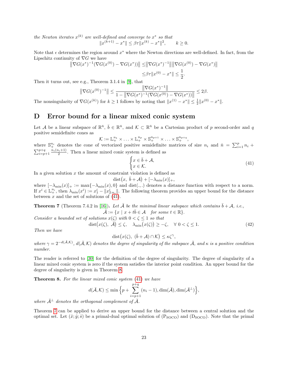the Newton iterates  $x^{(k)}$  are well-defined and converge to  $x^*$  so that

$$
||x^{(k+1)} - x^*|| \le \beta \tau ||x^{(k)} - x^*||^2, \qquad k \ge 0.
$$

Note that  $\epsilon$  determines the region around  $x^*$  where the Newton directions are well-defined. In fact, from the Lipschitz continuity of  $\nabla G$  we have

$$
\|\nabla G(x^*)^{-1}(\nabla G(x^{(0)}) - \nabla G(x^*))\| \le \|\nabla G(x^*)^{-1}\| \|\nabla G(x^{(0)}) - \nabla G(x^*)\|
$$
  

$$
\le \beta \tau \|x^{(0)} - x^*\| \le \frac{1}{2}.
$$

Then it turns out, see e.g., Theorem 3.1.4 in [\[9\]](#page-17-14), that

$$
\|\nabla G(x^{(0)})^{-1}\| \le \frac{\|\nabla G(x^*)^{-1}\|}{1 - \|\nabla G(x^*)^{-1}(\nabla G(x^{(0)}) - \nabla G(x^*))\|} \le 2\beta.
$$

The nonsingularity of  $\nabla G(x^{(k)})$  for  $k \ge 1$  follows by noting that  $||x^{(1)} - x^*|| \le \frac{1}{2} ||x^{(0)} - x^*||$ .

# <span id="page-22-1"></span>D Error bound for a linear mixed conic system

Let A be a linear subspace of  $\mathbb{R}^{\bar{n}}$ ,  $\bar{b} \in \mathbb{R}^{\bar{n}}$ , and  $\mathcal{K} \subset \mathbb{R}^{\bar{n}}$  be a Cartesian product of p second-order and q positive semidefinite cones as

$$
\mathcal{K} := \mathbb{L}_+^{n_1} \times \ldots \times \mathbb{L}_+^{n_p} \times \mathbb{S}_+^{n_{p+1}} \times \ldots \times \mathbb{S}_+^{n_{p+q}},
$$

where  $\mathbb{S}^{n_i}_+$  denotes the cone of vectorized positive semidefinite matrices of size  $n_i$  and  $\bar{n} = \sum_{i=1}^p n_i +$  $\sum_{i=p+1}^{p+q} \frac{n_i(n_i+1)}{2}$ . Then a linear mixed conic system is defined as

<span id="page-22-4"></span><span id="page-22-2"></span>
$$
\begin{cases} x \in \bar{b} + \mathcal{A}, \\ x \in \mathcal{K}. \end{cases} \tag{41}
$$

In a given solution  $x$  the amount of constraint violation is defined as

$$
dist(x, \bar{b} + \mathcal{A}) + [-\lambda_{\min}(x)]_+,
$$

where  $[-\lambda_{\min}(x)]_+ := \max\{-\lambda_{\min}(x), 0\}$  and dist(...) denotes a distance function with respect to a norm. If  $x^i \in \mathbb{L}^{n_i}_+$ , then  $\lambda_{\min}(x^i) := x^i_1 - \|x^i_{2:n_i}\|$ . The following theorem provides an upper bound for the distance between  $x$  and the set of solutions of  $(41)$ .

<span id="page-22-0"></span>**Theorem 7** (Theorem 7.4.2 in [\[16\]](#page-17-15)). Let  $\overline{A}$  be the minimal linear subspace which contains  $\overline{b} + A$ , i.e.,  $\mathcal{A} := \{x \mid x + t\overline{b} \in \mathcal{A} \text{ for some } t \in \mathbb{R}\}.$ 

Consider a bounded set of solutions  $x(\zeta)$  with  $0 < \zeta \leq 1$  so that dist $(x(\zeta), \bar{A}) \le \zeta$ ,  $\lambda_{\min}(x(\zeta)) \ge -\zeta$ ,  $\forall 0 < \zeta \le 1$ . (42)

Then we have

$$
\text{dist}\big(x(\zeta), \ (\bar{b} + \mathcal{A}) \cap \mathcal{K}\big) \leq \kappa \zeta^{\gamma},
$$

where  $\gamma = 2^{-d(\bar{\mathcal{A}},\mathcal{K})}$ ,  $d(\bar{\mathcal{A}},\mathcal{K})$  denotes the degree of singularity of the subspace  $\bar{\mathcal{A}}$ , and  $\kappa$  is a positive condition number.

The reader is referred to [\[30\]](#page-18-11) for the definition of the degree of singularity. The degree of singularity of a linear mixed conic system is zero if the system satisfies the interior point condition. An upper bound for the degree of singularity is given in Theorem [8.](#page-22-3)

<span id="page-22-3"></span>Theorem 8. For the linear mixed conic system [\(41\)](#page-22-2) we have

$$
d(\bar{\mathcal{A}}, \mathcal{K}) \le \min\Big\{p + \sum_{i=p+1}^{p+q} (n_i - 1), \dim(\bar{\mathcal{A}}), \dim(\bar{\mathcal{A}}^{\perp})\Big\},\,
$$

where  $\bar{A}^{\perp}$  denotes the orthogonal complement of  $\bar{A}$ .

Theorem [7](#page-22-0) can be applied to derive an upper bound for the distance between a central solution and the optimal set. Let  $(\hat{x}; \hat{y}; \hat{s})$  be a primal-dual optimal solution of  $(P_{SOCO})$  and  $(D_{SOCO})$ . Note that the primal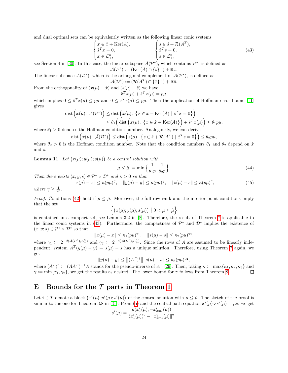and dual optimal sets can be equivalently written as the following linear conic systems

<span id="page-23-3"></span>
$$
\begin{cases}\nx \in \hat{x} + \text{Ker}(A), \\
\hat{s}^T x = 0, \\
x \in \mathcal{L}_+^{\bar{n}},\n\end{cases}\n\qquad\n\begin{cases}\ns \in \hat{s} + \mathcal{R}(A^T), \\
\hat{x}^T s = 0, \\
s \in \mathcal{L}_+^{\bar{n}},\n\end{cases}\n\tag{43}
$$

see Section 4 in [\[30\]](#page-18-11). In this case, the linear subspace  $\bar{\mathcal{A}}(\mathcal{P}^*)$ , which contains  $\mathcal{P}^*$ , is defined as  $\bar{\mathcal{A}}(\mathcal{P}^*) \vcentcolon = (\text{Ker}(A) \cap \{\hat{s}\}^\perp) + \mathbb{R}\hat{x}.$ 

The linear subspace  $\bar{\mathcal{A}}(\mathcal{D}^*)$ , which is the orthogonal complement of  $\bar{\mathcal{A}}(\mathcal{P}^*)$ , is defined as

 $\bar{\mathcal{A}}(\mathcal{D}^*) \coloneqq (\mathcal{R}(A^T) \cap {\hat{\{x\}}}^\perp) + \mathbb{R}\hat{s}.$ From the orthogonality of  $(x(\mu) - \hat{x})$  and  $(s(\mu) - \hat{s})$  we have

$$
\hat{x}^T s(\mu) + \hat{s}^T x(\mu) = p\mu,
$$

which implies  $0 \leq \hat{s}^T x(\mu) \leq p\mu$  and  $0 \leq \hat{x}^T s(\mu) \leq p\mu$ . Then the application of Hoffman error bound [\[11\]](#page-17-16) gives

$$
\begin{aligned} \text{dist}\left(x(\mu), \ \bar{\mathcal{A}}(\mathcal{P}^*)\right) &\leq \text{dist}\left(x(\mu), \ \{x \in \hat{x} + \text{Ker}(A) \mid \hat{s}^T x = 0\}\right) \\ &\leq \theta_1 \Big(\text{dist}\left(x(\mu), \ \{x \in \hat{x} + \text{Ker}(A)\}\right) + \hat{s}^T x(\mu)\Big) \leq \theta_1 p\mu, \end{aligned}
$$

where  $\theta_1 > 0$  denotes the Hoffman condition number. Analogously, we can derive

$$
\text{dist}\left(x(\mu), \ \bar{\mathcal{A}}(\mathcal{D}^*)\right) \le \text{dist}\left(s(\mu), \ \{s \in \hat{s} + \mathcal{R}(A^T) \mid \hat{x}^T s = 0\}\right) \le \theta_2 p \mu,
$$

where  $\theta_2 > 0$  is the Hoffman condition number. Note that the condition numbers  $\theta_1$  and  $\theta_2$  depend on  $\hat{x}$ and  $\hat{s}$ .

**Lemma 11.** Let  $(x(\mu); y(\mu); s(\mu))$  be a central solution with

<span id="page-23-2"></span><span id="page-23-1"></span>
$$
\mu \le \hat{\mu} := \min\left\{\frac{1}{\theta_1 p}, \frac{1}{\theta_2 p}\right\}.
$$
\n(44)

Then there exists  $(x; y; s) \in \mathcal{P}^* \times \mathcal{D}^*$  and  $\kappa > 0$  so that

$$
||x(\mu) - x|| \le \kappa (p\mu)^{\gamma}, \quad ||y(\mu) - y|| \le \kappa (p\mu)^{\gamma}, \quad ||s(\mu) - s|| \le \kappa (p\mu)^{\gamma}, \tag{45}
$$

where  $\gamma \geq \frac{1}{2^p}$ .

*Proof.* Conditions [\(42\)](#page-22-4) hold if  $\mu \leq \hat{\mu}$ . Moreover, the full row rank and the interior point conditions imply that the set

$$
\left\{ \big(x(\mu); y(\mu); s(\mu)\big) \mid 0 < \mu \leq \hat{\mu} \right\}
$$

is contained in a compact set, see Lemma 3.2 in [\[8\]](#page-17-17). Therefore, the result of Theorem [7](#page-22-0) is applicable to the linear conic systems in [\(43\)](#page-23-3). Furthermore, the compactness of  $\mathcal{P}^*$  and  $\mathcal{D}^*$  implies the existence of  $(x; y; s) \in \mathcal{P}^* \times \mathcal{D}^*$  so that

$$
||x(\mu) - x|| \le \kappa_1(p\mu)^{\gamma_1}, \quad ||s(\mu) - s|| \le \kappa_2(p\mu)^{\gamma_2},
$$

where  $\gamma_1 := 2^{-d(\bar{\mathcal{A}}(\mathcal{P}^*), \mathcal{L}^{\bar{n}}_+)}$  and  $\gamma_2 := 2^{-d(\bar{\mathcal{A}}(\mathcal{D}^*), \mathcal{L}^{\bar{n}}_+)}$ . Since the rows of A are assumed to be linearly independent, system  $A^T(y(\mu) - y) = s(\mu) - s$  has a unique solution. Therefore, using Theorem [7](#page-22-0) again, we get

$$
||y(\mu) - y|| \le ||(A^T)^{\dagger}|| ||s(\mu) - s|| \le \kappa_3 (p\mu)^{\gamma_2},
$$

where  $(A^T)^{\dagger} := (AA^T)^{-1}A$  stands for the pseudo-inverse of  $A^T$  [\[29\]](#page-18-12). Then, taking  $\kappa := \max\{\kappa_1, \kappa_2, \kappa_3\}$  and  $\gamma := \min\{\gamma_1, \gamma_2\}$ , we get the results as desired. The lower bound for  $\gamma$  follows from Theorem [8.](#page-22-3)  $\Box$ 

## <span id="page-23-0"></span>E Bounds for the  $\mathcal T$  parts in Theorem [1](#page-4-1)

Let  $i \in \mathcal{T}$  denote a block  $(x^i(\mu); y^i(\mu); s^i(\mu))$  of the central solution with  $\mu \leq \hat{\mu}$ . The sketch of the proof is similar to the one for Theorem 3.8 in [\[31\]](#page-18-8). From [\(5\)](#page-3-1) and the central path equation  $x^{i}(\mu) \circ s^{i}(\mu) = \mu e_{i}$  we get

$$
s^i(\mu)=\frac{\mu(x_1^i(\mu);-x_{2:n_i}^i(\mu))}{(x_1^i(\mu))^2-\|x_{2:n_i}^i(\mu)\|^2}.
$$